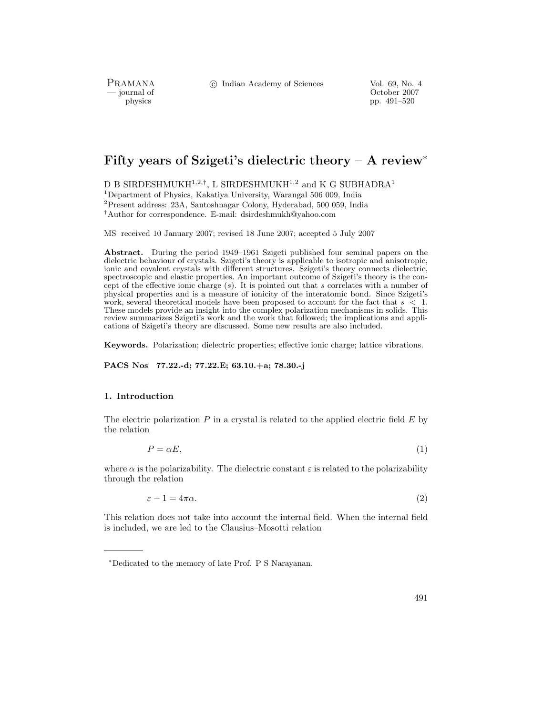PRAMANA<br>
— journal of

c Indian Academy of Sciences Vol. 69, No. 4

physics and the control of the control of the control of the control of the control of the control of the control of the control of the control of the control of the control of the control of the control of the control of pp. 491–520

# **Fifty years of Szigeti's dielectric theory – A review**<sup>∗</sup>

D B SIRDESHMUKH<sup>1,2,†</sup>, L SIRDESHMUKH<sup>1,2</sup> and K G SUBHADRA<sup>1</sup>

<sup>1</sup>Department of Physics, Kakatiya University, Warangal 506 009, India

<sup>2</sup>Present address: 23A, Santoshnagar Colony, Hyderabad, 500 059, India

†Author for correspondence. E-mail: dsirdeshmukh@yahoo.com

MS received 10 January 2007; revised 18 June 2007; accepted 5 July 2007

**Abstract.** During the period 1949–1961 Szigeti published four seminal papers on the dielectric behaviour of crystals. Szigeti's theory is applicable to isotropic and anisotropic, ionic and covalent crystals with different structures. Szigeti's theory connects dielectric, spectroscopic and elastic properties. An important outcome of Szigeti's theory is the concept of the effective ionic charge  $(s)$ . It is pointed out that s correlates with a number of physical properties and is a measure of ionicity of the interatomic bond. Since Szigeti's work, several theoretical models have been proposed to account for the fact that  $s < 1$ . These models provide an insight into the complex polarization mechanisms in solids. This review summarizes Szigeti's work and the work that followed; the implications and applications of Szigeti's theory are discussed. Some new results are also included.

**Keywords.** Polarization; dielectric properties; effective ionic charge; lattice vibrations.

**PACS Nos 77.22.-d; 77.22.E; 63.10.+a; 78.30.-j**

# **1. Introduction**

The electric polarization  $P$  in a crystal is related to the applied electric field  $E$  by the relation

$$
P = \alpha E,\tag{1}
$$

where  $\alpha$  is the polarizability. The dielectric constant  $\varepsilon$  is related to the polarizability through the relation

 $\varepsilon - 1 = 4\pi\alpha.$  (2)

This relation does not take into account the internal field. When the internal field is included, we are led to the Clausius–Mosotti relation

<sup>∗</sup>Dedicated to the memory of late Prof. P S Narayanan.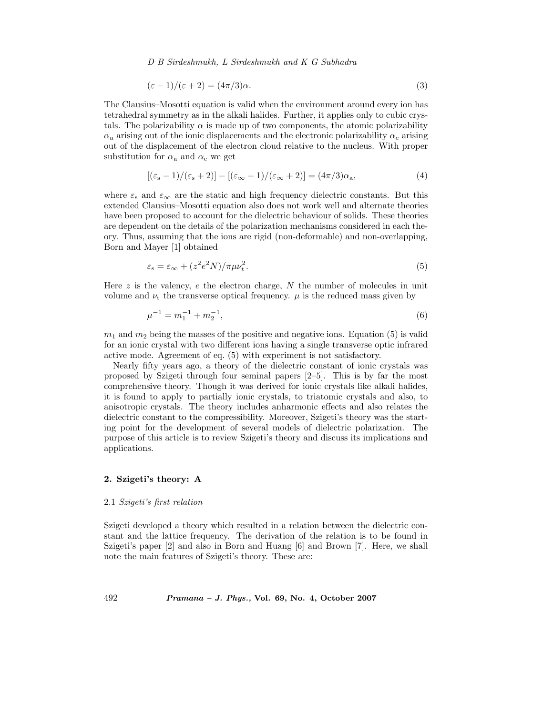$$
(\varepsilon - 1)/(\varepsilon + 2) = (4\pi/3)\alpha.
$$
\n(3)

The Clausius–Mosotti equation is valid when the environment around every ion has tetrahedral symmetry as in the alkali halides. Further, it applies only to cubic crystals. The polarizability  $\alpha$  is made up of two components, the atomic polarizability  $\alpha_a$  arising out of the ionic displacements and the electronic polarizability  $\alpha_e$  arising out of the displacement of the electron cloud relative to the nucleus. With proper substitution for  $\alpha_a$  and  $\alpha_e$  we get

$$
[(\varepsilon_{\rm s}-1)/(\varepsilon_{\rm s}+2)]-[(\varepsilon_{\infty}-1)/(\varepsilon_{\infty}+2)]=(4\pi/3)\alpha_{\rm a},\tag{4}
$$

where  $\varepsilon_{s}$  and  $\varepsilon_{\infty}$  are the static and high frequency dielectric constants. But this extended Clausius–Mosotti equation also does not work well and alternate theories have been proposed to account for the dielectric behaviour of solids. These theories are dependent on the details of the polarization mechanisms considered in each theory. Thus, assuming that the ions are rigid (non-deformable) and non-overlapping, Born and Mayer [1] obtained

$$
\varepsilon_{\rm s} = \varepsilon_{\infty} + (z^2 e^2 N) / \pi \mu v_t^2. \tag{5}
$$

Here  $z$  is the valency,  $e$  the electron charge,  $N$  the number of molecules in unit volume and  $\nu_t$  the transverse optical frequency.  $\mu$  is the reduced mass given by

$$
\mu^{-1} = m_1^{-1} + m_2^{-1},\tag{6}
$$

 $m_1$  and  $m_2$  being the masses of the positive and negative ions. Equation (5) is valid for an ionic crystal with two different ions having a single transverse optic infrared active mode. Agreement of eq. (5) with experiment is not satisfactory.

Nearly fifty years ago, a theory of the dielectric constant of ionic crystals was proposed by Szigeti through four seminal papers [2–5]. This is by far the most comprehensive theory. Though it was derived for ionic crystals like alkali halides, it is found to apply to partially ionic crystals, to triatomic crystals and also, to anisotropic crystals. The theory includes anharmonic effects and also relates the dielectric constant to the compressibility. Moreover, Szigeti's theory was the starting point for the development of several models of dielectric polarization. The purpose of this article is to review Szigeti's theory and discuss its implications and applications.

# **2. Szigeti's theory: A**

#### 2.1 *Szigeti's first relation*

Szigeti developed a theory which resulted in a relation between the dielectric constant and the lattice frequency. The derivation of the relation is to be found in Szigeti's paper [2] and also in Born and Huang [6] and Brown [7]. Here, we shall note the main features of Szigeti's theory. These are: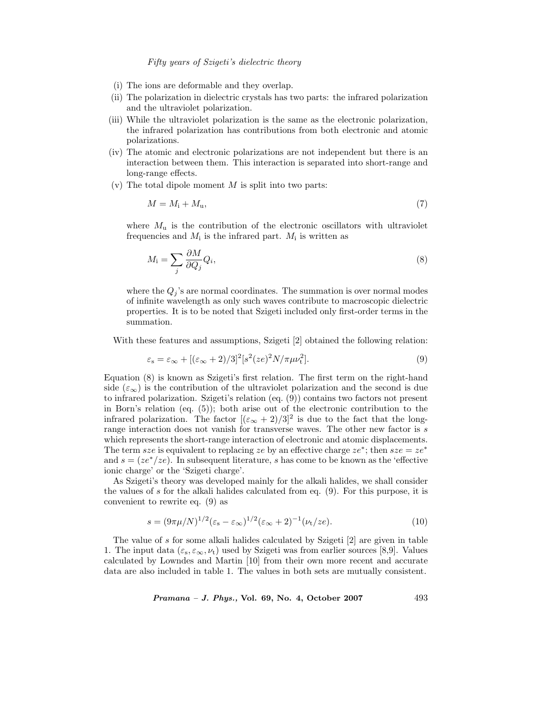- (i) The ions are deformable and they overlap.
- (ii) The polarization in dielectric crystals has two parts: the infrared polarization and the ultraviolet polarization.
- (iii) While the ultraviolet polarization is the same as the electronic polarization, the infrared polarization has contributions from both electronic and atomic polarizations.
- (iv) The atomic and electronic polarizations are not independent but there is an interaction between them. This interaction is separated into short-range and long-range effects.
- (v) The total dipole moment  $M$  is split into two parts:

$$
M = M_{\rm i} + M_{\rm u},\tag{7}
$$

where  $M_u$  is the contribution of the electronic oscillators with ultraviolet frequencies and  $M_i$  is the infrared part.  $M_i$  is written as

$$
M_i = \sum_j \frac{\partial M}{\partial Q_j} Q_i,\tag{8}
$$

where the  $Q_i$ 's are normal coordinates. The summation is over normal modes of infinite wavelength as only such waves contribute to macroscopic dielectric properties. It is to be noted that Szigeti included only first-order terms in the summation.

With these features and assumptions, Szigeti [2] obtained the following relation:

$$
\varepsilon_{\rm s} = \varepsilon_{\infty} + [(\varepsilon_{\infty} + 2)/3]^2 [s^2 (ze)^2 N / \pi \mu v_{\rm t}^2]. \tag{9}
$$

Equation (8) is known as Szigeti's first relation. The first term on the right-hand side ( $\varepsilon_{\infty}$ ) is the contribution of the ultraviolet polarization and the second is due to infrared polarization. Szigeti's relation (eq. (9)) contains two factors not present in Born's relation (eq. (5)); both arise out of the electronic contribution to the infrared polarization. The factor  $[(\varepsilon_{\infty} + 2)/3]^2$  is due to the fact that the longrange interaction does not vanish for transverse waves. The other new factor is s which represents the short-range interaction of electronic and atomic displacements. The term sze is equivalent to replacing ze by an effective charge  $ze^*$ ; then  $sze = ze^*$ and  $s = (ze^*/ze)$ . In subsequent literature, s has come to be known as the 'effective ionic charge' or the 'Szigeti charge'.

As Szigeti's theory was developed mainly for the alkali halides, we shall consider the values of s for the alkali halides calculated from eq.  $(9)$ . For this purpose, it is convenient to rewrite eq. (9) as

$$
s = (9\pi\mu/N)^{1/2} (\varepsilon_s - \varepsilon_\infty)^{1/2} (\varepsilon_\infty + 2)^{-1} (\nu_t / ze).
$$
 (10)

The value of s for some alkali halides calculated by Szigeti [2] are given in table 1. The input data  $(\varepsilon_{s}, \varepsilon_{\infty}, \nu_{t})$  used by Szigeti was from earlier sources [8,9]. Values calculated by Lowndes and Martin [10] from their own more recent and accurate data are also included in table 1. The values in both sets are mutually consistent.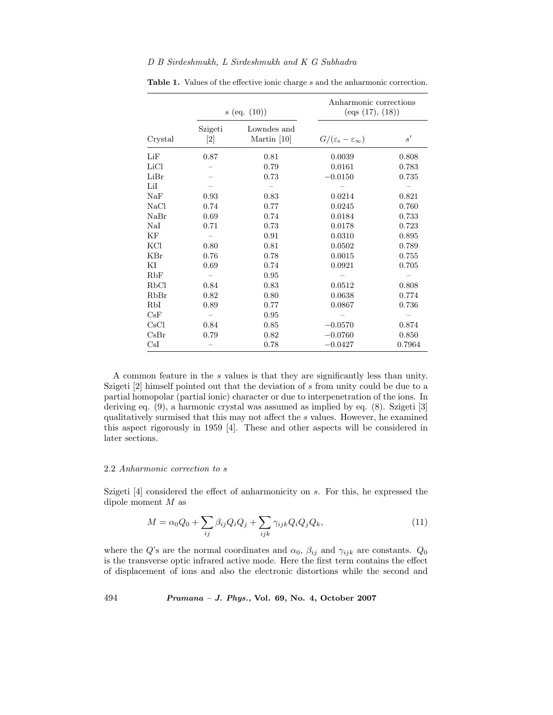|         |                  | $s$ (eq. $(10)$ )          | Anharmonic corrections<br>$\left( \text{eqs (17)}, \, \text{(18)} \right)$ |        |  |
|---------|------------------|----------------------------|----------------------------------------------------------------------------|--------|--|
| Crystal | Szigeti<br>$[2]$ | Lowndes and<br>Martin [10] | $G/(\varepsilon_{\rm s}-\varepsilon_{\infty})$                             | s'     |  |
| LiF     | 0.87             | 0.81                       | 0.0039                                                                     | 0.808  |  |
| LiCl    |                  | 0.79                       | 0.0161                                                                     | 0.783  |  |
| LiBr    |                  | 0.73                       | $-0.0150$                                                                  | 0.735  |  |
| LiI     |                  |                            |                                                                            |        |  |
| NaF     | 0.93             | 0.83                       | 0.0214                                                                     | 0.821  |  |
| NaCl    | 0.74             | 0.77                       | 0.0245                                                                     | 0.760  |  |
| NaBr    | 0.69             | 0.74                       | 0.0184                                                                     | 0.733  |  |
| NaI     | 0.71             | 0.73                       | 0.0178                                                                     | 0.723  |  |
| ΚF      |                  | 0.91                       | 0.0310                                                                     | 0.895  |  |
| KCl     | 0.80             | 0.81                       | 0.0502                                                                     | 0.789  |  |
| KBr     | 0.76             | 0.78                       | 0.0015                                                                     | 0.755  |  |
| ΚI      | 0.69             | 0.74                       | 0.0921                                                                     | 0.705  |  |
| RbF     |                  | 0.95                       |                                                                            |        |  |
| RbCl    | 0.84             | 0.83                       | 0.0512                                                                     | 0.808  |  |
| RbBr    | 0.82             | 0.80                       | 0.0638                                                                     | 0.774  |  |
| RbI     | 0.89             | 0.77                       | 0.0867                                                                     | 0.736  |  |
| CsF     |                  | 0.95                       |                                                                            |        |  |
| CsCl    | 0.84             | 0.85                       | $-0.0570$                                                                  | 0.874  |  |
| CsBr    | 0.79             | 0.82                       | $-0.0760$                                                                  | 0.850  |  |
| CsI     |                  | 0.78                       | $-0.0427$                                                                  | 0.7964 |  |

Table 1. Values of the effective ionic charge s and the anharmonic correction.

A common feature in the s values is that they are significantly less than unity. Szigeti [2] himself pointed out that the deviation of s from unity could be due to a partial homopolar (partial ionic) character or due to interpenetration of the ions. In deriving eq. (9), a harmonic crystal was assumed as implied by eq. (8). Szigeti [3] qualitatively surmised that this may not affect the s values. However, he examined this aspect rigorously in 1959 [4]. These and other aspects will be considered in later sections.

#### 2.2 *Anharmonic correction to* s

Szigeti [4] considered the effect of anharmonicity on s. For this, he expressed the dipole moment M as

$$
M = \alpha_0 Q_0 + \sum_{ij} \beta_{ij} Q_i Q_j + \sum_{ijk} \gamma_{ijk} Q_i Q_j Q_k, \qquad (11)
$$

where the Q's are the normal coordinates and  $\alpha_0$ ,  $\beta_{ij}$  and  $\gamma_{ijk}$  are constants.  $Q_0$ is the transverse optic infrared active mode. Here the first term contains the effect of displacement of ions and also the electronic distortions while the second and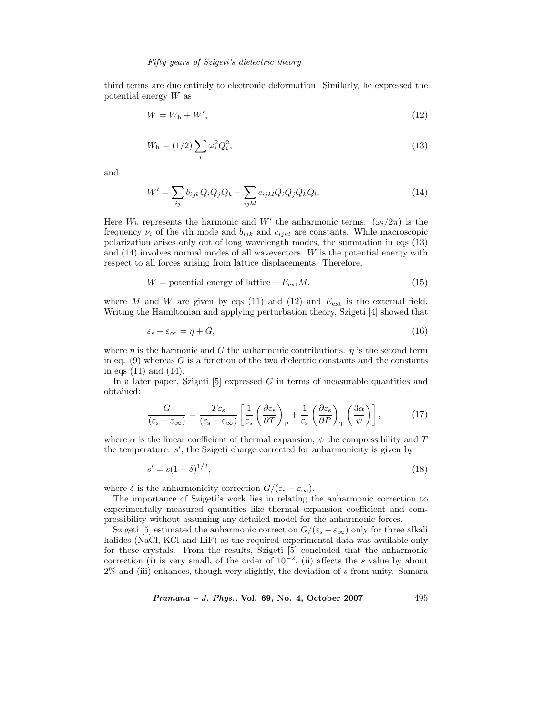third terms are due entirely to electronic deformation. Similarly, he expressed the potential energy W as

$$
W = Wh + W', \t\t(12)
$$

$$
W_{\rm h} = (1/2) \sum_{i} \omega_i^2 Q_i^2, \tag{13}
$$

and

$$
W' = \sum_{ij} b_{ijk} Q_i Q_j Q_k + \sum_{ijkl} c_{ijkl} Q_i Q_j Q_k Q_l.
$$
 (14)

Here  $W<sub>h</sub>$  represents the harmonic and  $W'$  the anharmonic terms.  $(\omega_i/2\pi)$  is the frequency  $\nu_i$  of the *i*th mode and  $b_{ijk}$  and  $c_{ijkl}$  are constants. While macroscopic polarization arises only out of long wavelength modes, the summation in eqs (13) and (14) involves normal modes of all wavevectors. W is the potential energy with respect to all forces arising from lattice displacements. Therefore,

$$
W = potential energy of lattice + EextM.
$$
 (15)

where M and W are given by eqs (11) and (12) and  $E_{ext}$  is the external field. Writing the Hamiltonian and applying perturbation theory, Szigeti [4] showed that

$$
\varepsilon_{\rm s} - \varepsilon_{\infty} = \eta + G,\tag{16}
$$

where  $\eta$  is the harmonic and G the anharmonic contributions.  $\eta$  is the second term in eq.  $(9)$  whereas G is a function of the two dielectric constants and the constants in eqs (11) and (14).

In a later paper, Szigeti  $[5]$  expressed G in terms of measurable quantities and obtained:

$$
\frac{G}{(\varepsilon_{\rm s} - \varepsilon_{\infty})} = \frac{T\varepsilon_{\rm s}}{(\varepsilon_{\rm s} - \varepsilon_{\infty})} \left[ \frac{1}{\varepsilon_{\rm s}} \left( \frac{\partial \varepsilon_{\rm s}}{\partial T} \right)_{\rm P} + \frac{1}{\varepsilon_{\rm s}} \left( \frac{\partial \varepsilon_{\rm s}}{\partial P} \right)_{\rm T} \left( \frac{3\alpha}{\psi} \right) \right],\tag{17}
$$

where  $\alpha$  is the linear coefficient of thermal expansion,  $\psi$  the compressibility and T the temperature. s', the Szigeti charge corrected for anharmonicity is given by

$$
s' = s(1 - \delta)^{1/2},\tag{18}
$$

where  $\delta$  is the anharmonicity correction  $G/(\varepsilon_{s} - \varepsilon_{\infty})$ .

The importance of Szigeti's work lies in relating the anharmonic correction to experimentally measured quantities like thermal expansion coefficient and compressibility without assuming any detailed model for the anharmonic forces.

Szigeti [5] estimated the anharmonic correction  $G/(\varepsilon_{s} - \varepsilon_{\infty})$  only for three alkali halides (NaCl, KCl and LiF) as the required experimental data was available only for these crystals. From the results, Szigeti [5] concluded that the anharmonic correction (i) is very small, of the order of  $10^{-2}$ , (ii) affects the s value by about 2% and (iii) enhances, though very slightly, the deviation of s from unity. Samara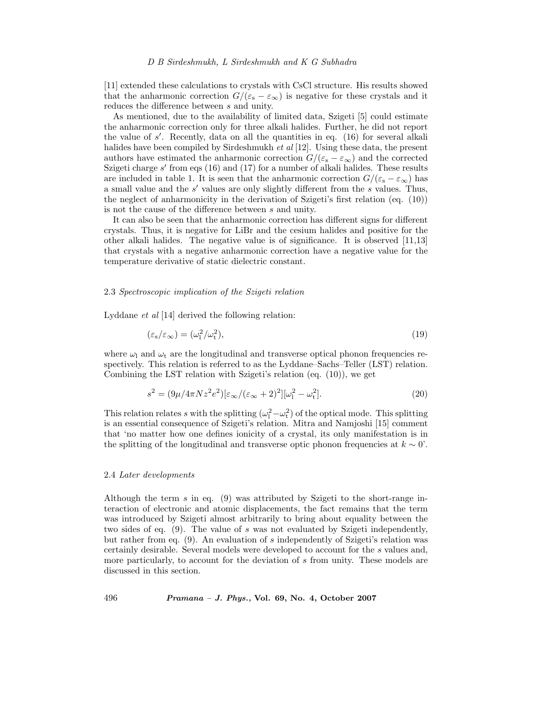[11] extended these calculations to crystals with CsCl structure. His results showed that the anharmonic correction  $G/(\varepsilon_{s} - \varepsilon_{\infty})$  is negative for these crystals and it reduces the difference between s and unity.

As mentioned, due to the availability of limited data, Szigeti [5] could estimate the anharmonic correction only for three alkali halides. Further, he did not report the value of s . Recently, data on all the quantities in eq. (16) for several alkali halides have been compiled by Sirdeshmukh *et al* [12]. Using these data, the present authors have estimated the anharmonic correction  $G/(\varepsilon_{s} - \varepsilon_{\infty})$  and the corrected Szigeti charge  $s'$  from eqs (16) and (17) for a number of alkali halides. These results are included in table 1. It is seen that the anharmonic correction  $G/(\varepsilon_{s} - \varepsilon_{\infty})$  has a small value and the  $s'$  values are only slightly different from the  $s$  values. Thus, the neglect of anharmonicity in the derivation of Szigeti's first relation (eq. (10)) is not the cause of the difference between s and unity.

It can also be seen that the anharmonic correction has different signs for different crystals. Thus, it is negative for LiBr and the cesium halides and positive for the other alkali halides. The negative value is of significance. It is observed [11,13] that crystals with a negative anharmonic correction have a negative value for the temperature derivative of static dielectric constant.

### 2.3 *Spectroscopic implication of the Szigeti relation*

Lyddane *et al* [14] derived the following relation:

$$
(\varepsilon_{\rm s}/\varepsilon_{\infty}) = (\omega_{\rm l}^2/\omega_{\rm t}^2),\tag{19}
$$

where  $\omega_1$  and  $\omega_t$  are the longitudinal and transverse optical phonon frequencies respectively. This relation is referred to as the Lyddane–Sachs–Teller (LST) relation. Combining the LST relation with Szigeti's relation (eq. (10)), we get

$$
s^{2} = (9\mu/4\pi Nz^{2}e^{2})[\varepsilon_{\infty}/(\varepsilon_{\infty}+2)^{2}][\omega_{1}^{2} - \omega_{t}^{2}].
$$
\n(20)

This relation relates s with the splitting  $(\omega_1^2 - \omega_t^2)$  of the optical mode. This splitting is an essential consequence of Szigeti's relation. Mitra and Namjoshi [15] comment that 'no matter how one defines ionicity of a crystal, its only manifestation is in the splitting of the longitudinal and transverse optic phonon frequencies at  $k \sim 0'$ .

# 2.4 *Later developments*

Although the term s in eq. (9) was attributed by Szigeti to the short-range interaction of electronic and atomic displacements, the fact remains that the term was introduced by Szigeti almost arbitrarily to bring about equality between the two sides of eq. (9). The value of s was not evaluated by Szigeti independently, but rather from eq. (9). An evaluation of s independently of Szigeti's relation was certainly desirable. Several models were developed to account for the s values and, more particularly, to account for the deviation of s from unity. These models are discussed in this section.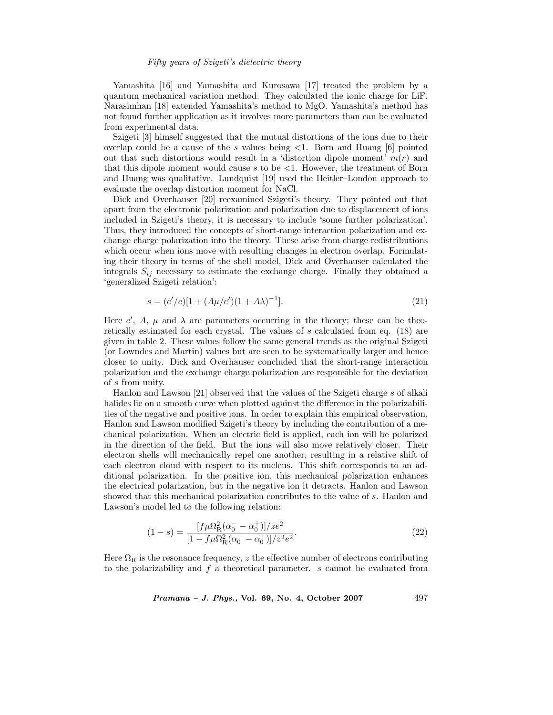Yamashita [16] and Yamashita and Kurosawa [17] treated the problem by a quantum mechanical variation method. They calculated the ionic charge for LiF. Narasimhan [18] extended Yamashita's method to MgO. Yamashita's method has not found further application as it involves more parameters than can be evaluated from experimental data.

Szigeti [3] himself suggested that the mutual distortions of the ions due to their overlap could be a cause of the s values being  $\leq 1$ . Born and Huang [6] pointed out that such distortions would result in a 'distortion dipole moment'  $m(r)$  and that this dipole moment would cause  $s$  to be  $\lt 1$ . However, the treatment of Born and Huang was qualitative. Lundquist [19] used the Heitler–London approach to evaluate the overlap distortion moment for NaCl.

Dick and Overhauser [20] reexamined Szigeti's theory. They pointed out that apart from the electronic polarization and polarization due to displacement of ions included in Szigeti's theory, it is necessary to include 'some further polarization'. Thus, they introduced the concepts of short-range interaction polarization and exchange charge polarization into the theory. These arise from charge redistributions which occur when ions move with resulting changes in electron overlap. Formulating their theory in terms of the shell model, Dick and Overhauser calculated the integrals  $S_{ij}$  necessary to estimate the exchange charge. Finally they obtained a 'generalized Szigeti relation':

$$
s = (e'/e)[1 + (A\mu/e')(1 + A\lambda)^{-1}].
$$
\n(21)

Here  $e'$ , A,  $\mu$  and  $\lambda$  are parameters occurring in the theory; these can be theoretically estimated for each crystal. The values of s calculated from eq. (18) are given in table 2. These values follow the same general trends as the original Szigeti (or Lowndes and Martin) values but are seen to be systematically larger and hence closer to unity. Dick and Overhauser concluded that the short-range interaction polarization and the exchange charge polarization are responsible for the deviation of s from unity.

Hanlon and Lawson [21] observed that the values of the Szigeti charge s of alkali halides lie on a smooth curve when plotted against the difference in the polarizabilities of the negative and positive ions. In order to explain this empirical observation, Hanlon and Lawson modified Szigeti's theory by including the contribution of a mechanical polarization. When an electric field is applied, each ion will be polarized in the direction of the field. But the ions will also move relatively closer. Their electron shells will mechanically repel one another, resulting in a relative shift of each electron cloud with respect to its nucleus. This shift corresponds to an additional polarization. In the positive ion, this mechanical polarization enhances the electrical polarization, but in the negative ion it detracts. Hanlon and Lawson showed that this mechanical polarization contributes to the value of s. Hanlon and Lawson's model led to the following relation:

$$
(1-s) = \frac{[f\mu\Omega_{\rm R}^2(\alpha_0^- - \alpha_0^+)]/ze^2}{[1 - f\mu\Omega_{\rm R}^2(\alpha_0^- - \alpha_0^+)]/z^2e^2}.
$$
\n(22)

Here  $\Omega_R$  is the resonance frequency, z the effective number of electrons contributing to the polarizability and  $f$  a theoretical parameter.  $s$  cannot be evaluated from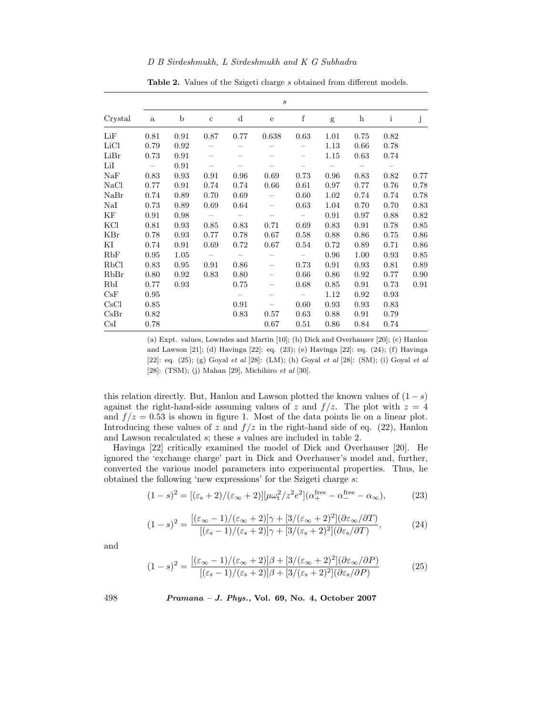|         |              |             |             |                          | $\boldsymbol{s}$  |                          |      |            |              |      |
|---------|--------------|-------------|-------------|--------------------------|-------------------|--------------------------|------|------------|--------------|------|
| Crystal | $\mathbf{a}$ | $\mathbf b$ | $\mathbf c$ | d                        | $\mathbf{e}$      | $\mathbf f$              | g    | $\bold{h}$ | $\mathbf{i}$ | j    |
| LiF     | 0.81         | 0.91        | 0.87        | 0.77                     | 0.638             | 0.63                     | 1.01 | 0.75       | 0.82         |      |
| LiCl    | 0.79         | 0.92        |             |                          |                   |                          | 1.13 | 0.66       | 0.78         |      |
| LiBr    | 0.73         | 0.91        |             |                          |                   | -                        | 1.15 | 0.63       | 0.74         |      |
| LiI     |              | 0.91        |             |                          |                   | -                        |      | $\equiv$   |              |      |
| NaF     | 0.83         | 0.93        | 0.91        | 0.96                     | 0.69              | 0.73                     | 0.96 | 0.83       | 0.82         | 0.77 |
| NaCl    | 0.77         | 0.91        | 0.74        | 0.74                     | 0.66              | 0.61                     | 0.97 | 0.77       | 0.76         | 0.78 |
| NaBr    | 0.74         | 0.89        | 0.70        | 0.69                     |                   | 0.60                     | 1.02 | 0.74       | 0.74         | 0.78 |
| NaI     | 0.73         | 0.89        | 0.69        | 0.64                     | $\qquad \qquad -$ | 0.63                     | 1.04 | 0.70       | 0.70         | 0.83 |
| KF      | 0.91         | 0.98        |             |                          | $\qquad \qquad -$ |                          | 0.91 | 0.97       | 0.88         | 0.82 |
| KCI     | 0.81         | 0.93        | 0.85        | 0.83                     | 0.71              | 0.69                     | 0.83 | $0.91\,$   | 0.78         | 0.85 |
| KBr     | 0.78         | 0.93        | 0.77        | 0.78                     | $0.67\,$          | 0.58                     | 0.88 | 0.86       | 0.75         | 0.86 |
| ΚI      | 0.74         | 0.91        | 0.69        | 0.72                     | 0.67              | 0.54                     | 0.72 | 0.89       | 0.71         | 0.86 |
| RbF     | 0.95         | 1.05        |             |                          |                   | $\overline{\phantom{m}}$ | 0.96 | 1.00       | 0.93         | 0.85 |
| RbCl    | 0.83         | 0.95        | 0.91        | 0.86                     |                   | 0.73                     | 0.91 | 0.93       | 0.81         | 0.89 |
| RbBr    | 0.80         | 0.92        | 0.83        | 0.80                     | $\qquad \qquad -$ | 0.66                     | 0.86 | 0.92       | 0.77         | 0.90 |
| RbI     | 0.77         | 0.93        |             | 0.75                     | $\qquad \qquad -$ | 0.68                     | 0.85 | 0.91       | 0.73         | 0.91 |
| CsF     | 0.95         |             |             | $\overline{\phantom{m}}$ | $\qquad \qquad -$ | $\overline{\phantom{m}}$ | 1.12 | 0.92       | 0.93         |      |
| CsCl    | 0.85         |             |             | 0.91                     | -                 | 0.60                     | 0.93 | 0.93       | 0.83         |      |
| CsBr    | 0.82         |             |             | 0.83                     | 0.57              | 0.63                     | 0.88 | 0.91       | 0.79         |      |
| CsI     | 0.78         |             |             |                          | 0.67              | 0.51                     | 0.86 | 0.84       | 0.74         |      |

**Table 2.** Values of the Szigeti charge s obtained from different models.

(a) Expt. values, Lowndes and Martin [10]; (b) Dick and Overhauser [20]; (c) Hanlon and Lawson [21]; (d) Havinga [22]: eq. (23); (e) Havinga [22]: eq. (24); (f) Havinga [22]: eq. (25); (g) Goyal *et al* [28]: (LM); (h) Goyal *et al* [28]: (SM); (i) Goyal *et al* [28]: (TSM); (j) Mahan [29], Michihiro *et al* [30].

this relation directly. But, Hanlon and Lawson plotted the known values of  $(1-s)$ against the right-hand-side assuming values of z and  $f/z$ . The plot with  $z = 4$ and  $f/z = 0.53$  is shown in figure 1. Most of the data points lie on a linear plot. Introducing these values of z and  $f/z$  in the right-hand side of eq. (22), Hanlon and Lawson recalculated s; these s values are included in table 2.

Havinga [22] critically examined the model of Dick and Overhauser [20]. He ignored the 'exchange charge' part in Dick and Overhauser's model and, further, converted the various model parameters into experimental properties. Thus, he obtained the following 'new expressions' for the Szigeti charge s:

$$
(1-s)^{2} = [(\varepsilon_{s} + 2)/(\varepsilon_{\infty} + 2)][\mu\omega_{t}^{2}/z^{2}e^{2}](\alpha_{+}^{\text{free}} - \alpha_{-}^{\text{free}} - \alpha_{\infty}), \tag{23}
$$

$$
(1-s)^2 = \frac{\left[ (\varepsilon_{\infty} - 1)/(\varepsilon_{\infty} + 2) \right] \gamma + \left[ 3/(\varepsilon_{\infty} + 2)^2 \right] (\partial \varepsilon_{\infty}/\partial T)}{\left[ (\varepsilon_{\rm s} - 1)/(\varepsilon_{\rm s} + 2) \right] \gamma + \left[ 3/(\varepsilon_{\rm s} + 2)^2 \right] (\partial \varepsilon_{\rm s}/\partial T)},\tag{24}
$$

and

$$
(1-s)^2 = \frac{\left[ (\varepsilon_{\infty} - 1)/(\varepsilon_{\infty} + 2) \right] \beta + \left[ 3/(\varepsilon_{\infty} + 2)^2 \right] (\partial \varepsilon_{\infty}/\partial P)}{\left[ (\varepsilon_{\rm s} - 1)/(\varepsilon_{\rm s} + 2) \right] \beta + \left[ 3/(\varepsilon_{\rm s} + 2)^2 \right] (\partial \varepsilon_{\rm s}/\partial P)} \tag{25}
$$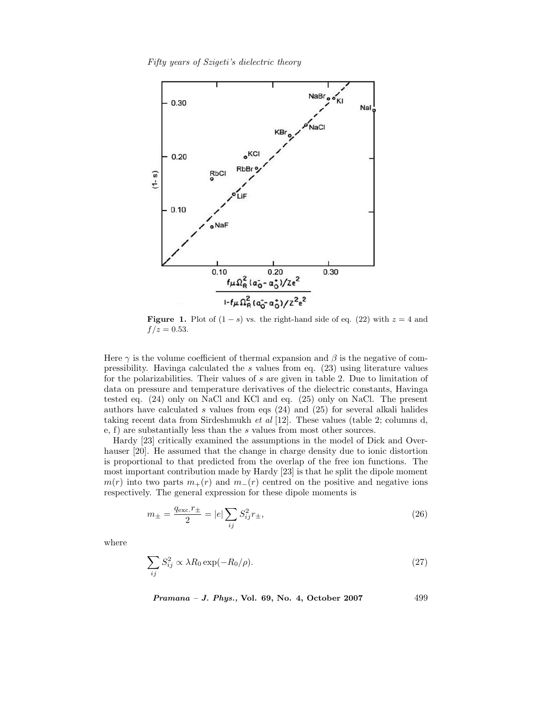*Fifty years of Szigeti's dielectric theory*



**Figure 1.** Plot of  $(1-s)$  vs. the right-hand side of eq. (22) with  $z = 4$  and  $f / z = 0.53$ .

Here  $\gamma$  is the volume coefficient of thermal expansion and  $\beta$  is the negative of compressibility. Havinga calculated the s values from eq. (23) using literature values for the polarizabilities. Their values of  $s$  are given in table 2. Due to limitation of data on pressure and temperature derivatives of the dielectric constants, Havinga tested eq. (24) only on NaCl and KCl and eq. (25) only on NaCl. The present authors have calculated s values from eqs  $(24)$  and  $(25)$  for several alkali halides taking recent data from Sirdeshmukh *et al* [12]. These values (table 2; columns d, e, f) are substantially less than the s values from most other sources.

Hardy [23] critically examined the assumptions in the model of Dick and Overhauser [20]. He assumed that the change in charge density due to ionic distortion is proportional to that predicted from the overlap of the free ion functions. The most important contribution made by Hardy [23] is that he split the dipole moment  $m(r)$  into two parts  $m_+(r)$  and  $m_-(r)$  centred on the positive and negative ions respectively. The general expression for these dipole moments is

$$
m_{\pm} = \frac{q_{\text{exc.}}r_{\pm}}{2} = |e| \sum_{ij} S_{ij}^2 r_{\pm}, \qquad (26)
$$

where

$$
\sum_{ij} S_{ij}^2 \propto \lambda R_0 \exp(-R_0/\rho). \tag{27}
$$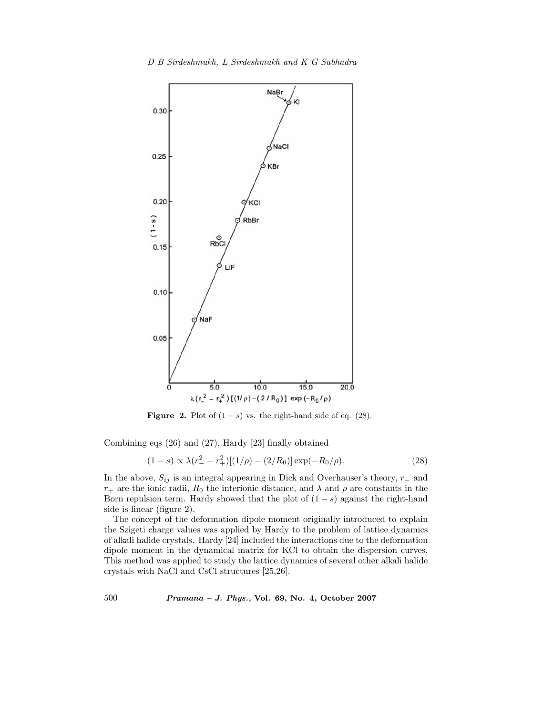

**Figure 2.** Plot of  $(1 - s)$  vs. the right-hand side of eq.  $(28)$ .

Combining eqs (26) and (27), Hardy [23] finally obtained

$$
(1-s) \propto \lambda (r_{-}^{2} - r_{+}^{2}) [(1/\rho) - (2/R_{0})] \exp(-R_{0}/\rho). \tag{28}
$$

In the above,  $S_{ij}$  is an integral appearing in Dick and Overhauser's theory, r<sub>−</sub> and  $r_{+}$  are the ionic radii,  $R_{0}$  the interionic distance, and  $\lambda$  and  $\rho$  are constants in the Born repulsion term. Hardy showed that the plot of  $(1 - s)$  against the right-hand side is linear (figure 2).

The concept of the deformation dipole moment originally introduced to explain the Szigeti charge values was applied by Hardy to the problem of lattice dynamics of alkali halide crystals. Hardy [24] included the interactions due to the deformation dipole moment in the dynamical matrix for KCl to obtain the dispersion curves. This method was applied to study the lattice dynamics of several other alkali halide crystals with NaCl and CsCl structures [25,26].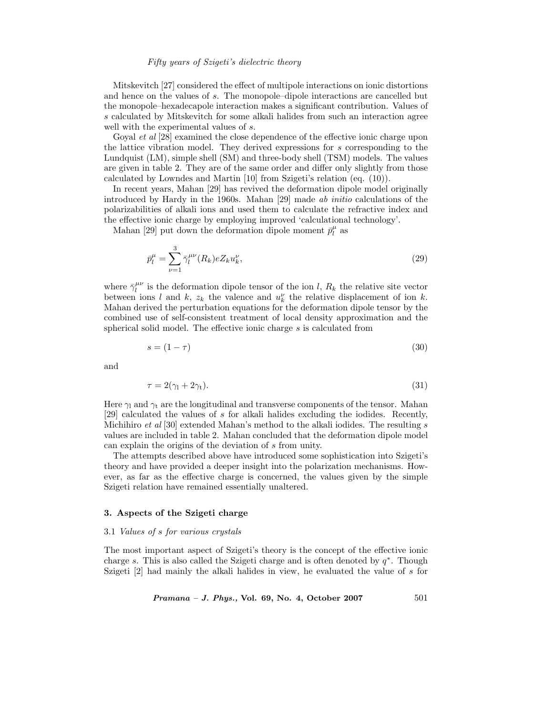Mitskevitch [27] considered the effect of multipole interactions on ionic distortions and hence on the values of s. The monopole–dipole interactions are cancelled but the monopole–hexadecapole interaction makes a significant contribution. Values of s calculated by Mitskevitch for some alkali halides from such an interaction agree well with the experimental values of s.

Goyal *et al* [28] examined the close dependence of the effective ionic charge upon the lattice vibration model. They derived expressions for s corresponding to the Lundquist (LM), simple shell (SM) and three-body shell (TSM) models. The values are given in table 2. They are of the same order and differ only slightly from those calculated by Lowndes and Martin [10] from Szigeti's relation (eq. (10)).

In recent years, Mahan [29] has revived the deformation dipole model originally introduced by Hardy in the 1960s. Mahan [29] made *ab initio* calculations of the polarizabilities of alkali ions and used them to calculate the refractive index and the effective ionic charge by employing improved 'calculational technology'.

Mahan [29] put down the deformation dipole moment  $\bar{p}_l^{\mu}$  as

$$
\bar{p}_l^{\mu} = \sum_{\nu=1}^3 \bar{\gamma}_l^{\mu\nu}(R_k) e Z_k u_k^{\nu},\tag{29}
$$

where  $\bar{\gamma}_l^{\mu\nu}$  is the deformation dipole tensor of the ion l,  $R_k$  the relative site vector between ions l and k,  $z_k$  the valence and  $u_k^{\nu}$  the relative displacement of ion k. Mahan derived the perturbation equations for the deformation dipole tensor by the combined use of self-consistent treatment of local density approximation and the spherical solid model. The effective ionic charge s is calculated from

$$
s = (1 - \tau) \tag{30}
$$

and

$$
\tau = 2(\gamma_1 + 2\gamma_t). \tag{31}
$$

Here  $\gamma_1$  and  $\gamma_t$  are the longitudinal and transverse components of the tensor. Mahan [29] calculated the values of s for alkali halides excluding the iodides. Recently, Michihiro *et al* [30] extended Mahan's method to the alkali iodides. The resulting s values are included in table 2. Mahan concluded that the deformation dipole model can explain the origins of the deviation of s from unity.

The attempts described above have introduced some sophistication into Szigeti's theory and have provided a deeper insight into the polarization mechanisms. However, as far as the effective charge is concerned, the values given by the simple Szigeti relation have remained essentially unaltered.

# **3. Aspects of the Szigeti charge**

# 3.1 *Values of* s *for various crystals*

The most important aspect of Szigeti's theory is the concept of the effective ionic charge s. This is also called the Szigeti charge and is often denoted by  $q^*$ . Though Szigeti [2] had mainly the alkali halides in view, he evaluated the value of s for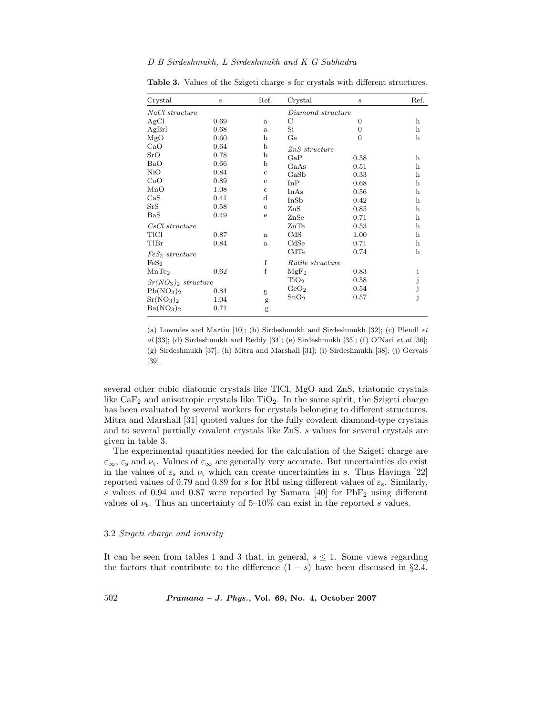| Crystal                           | $\boldsymbol{s}$ | Ref.         | Crystal           | $\boldsymbol{s}$ | Ref.        |
|-----------------------------------|------------------|--------------|-------------------|------------------|-------------|
| NaCl structure                    |                  |              | Diamond structure |                  |             |
| AgCl                              | 0.69             | $\mathbf{a}$ | С                 | $\theta$         | h           |
| AgBrl                             | 0.68             | a            | $\mathrm{Si}$     | $\overline{0}$   | $\mathbf h$ |
| MgO                               | 0.60             | b            | Ge                | $\Omega$         | $\mathbf h$ |
| CaO                               | 0.64             | b            | $ZnS$ structure   |                  |             |
| SrO                               | 0.78             | b            | GaP               | 0.58             | h           |
| BaO                               | 0.66             | b            | GaAs              | 0.51             | $\mathbf h$ |
| N <sub>i</sub> O                  | 0.84             | $\mathbf c$  | GaSb              | 0.33             | h           |
| CoO                               | 0.89             | $\mathbf c$  | InP               | 0.68             | h           |
| MnO                               | 1.08             | $\mathbf c$  | InAs              | 0.56             | h           |
| CaS                               | 0.41             | $\mathbf d$  | InSb              | 0.42             | $\mathbf h$ |
| SrS                               | 0.58             | e            | ZnS               | 0.85             | h           |
| $_{\rm BaS}$                      | 0.49             | e            | ZnSe              | 0.71             | $\mathbf h$ |
| $CsCl$ structure                  |                  |              | ZnTe              | 0.53             | $\mathbf h$ |
| TICI                              | 0.87             | a            | CdS               | 1.00             | $\mathbf h$ |
| TlBr                              | 0.84             | a            | CdSe              | 0.71             | $\mathbf h$ |
| $FeS2$ structure                  |                  |              | CdTe              | 0.74             | h           |
| FeS <sub>2</sub>                  |                  | f            | Rutile structure  |                  |             |
| MnTe <sub>2</sub>                 | 0.62             | $\mathbf f$  | MgF <sub>2</sub>  | 0.83             | ı           |
|                                   |                  |              | TiO <sub>2</sub>  | 0.58             |             |
| $Sr(NO3)2$ structure              |                  |              | GeO <sub>2</sub>  | 0.54             | j<br>j<br>j |
| Pb(NO <sub>3</sub> ) <sub>2</sub> | 0.84             | g            |                   |                  |             |
| Sr(NO <sub>3</sub> ) <sub>2</sub> | 1.04             | g            | SnO <sub>2</sub>  | 0.57             |             |
| Ba(NO <sub>3</sub> ) <sub>2</sub> | 0.71             | g            |                   |                  |             |

Table 3. Values of the Szigeti charge s for crystals with different structures.

(a) Lowndes and Martin [10]; (b) Sirdeshmukh and Sirdeshmukh [32]; (c) Plendl *et al* [33]; (d) Sirdeshmukh and Reddy [34]; (e) Sirdeshmukh [35]; (f) O'Nari *et al* [36]; (g) Sirdeshmukh [37]; (h) Mitra and Marshall [31]; (i) Sirdeshmukh [38]; (j) Gervais [39].

several other cubic diatomic crystals like TlCl, MgO and ZnS, triatomic crystals like  $\text{CaF}_2$  and anisotropic crystals like TiO<sub>2</sub>. In the same spirit, the Szigeti charge has been evaluated by several workers for crystals belonging to different structures. Mitra and Marshall [31] quoted values for the fully covalent diamond-type crystals and to several partially covalent crystals like ZnS. s values for several crystals are given in table 3.

The experimental quantities needed for the calculation of the Szigeti charge are  $\varepsilon_{\infty}$ ,  $\varepsilon_{\rm s}$  and  $\nu_{\rm t}$ . Values of  $\varepsilon_{\infty}$  are generally very accurate. But uncertainties do exist in the values of  $\varepsilon_s$  and  $\nu_t$  which can create uncertainties in s. Thus Havinga [22] reported values of 0.79 and 0.89 for s for RbI using different values of  $\varepsilon_{\rm s}$ . Similarly, s values of 0.94 and 0.87 were reported by Samara  $[40]$  for  $PbF<sub>2</sub>$  using different values of  $\nu_t$ . Thus an uncertainty of 5–10% can exist in the reported s values.

# 3.2 *Szigeti charge and ionicity*

It can be seen from tables 1 and 3 that, in general,  $s \leq 1$ . Some views regarding the factors that contribute to the difference  $(1-s)$  have been discussed in §2.4.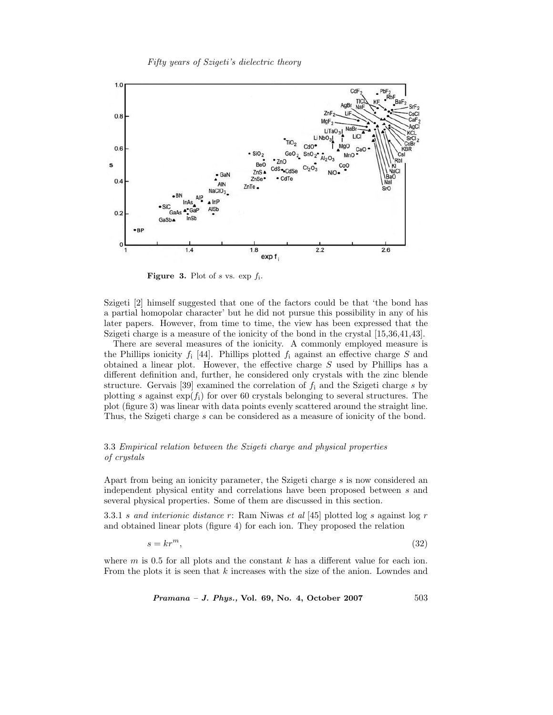

**Figure 3.** Plot of s vs. exp  $f_i$ .

Szigeti [2] himself suggested that one of the factors could be that 'the bond has a partial homopolar character' but he did not pursue this possibility in any of his later papers. However, from time to time, the view has been expressed that the Szigeti charge is a measure of the ionicity of the bond in the crystal [15,36,41,43].

There are several measures of the ionicity. A commonly employed measure is the Phillips ionicity  $f_i$  [44]. Phillips plotted  $f_i$  against an effective charge S and obtained a linear plot. However, the effective charge S used by Phillips has a different definition and, further, he considered only crystals with the zinc blende structure. Gervais [39] examined the correlation of  $f_i$  and the Szigeti charge s by plotting s against  $\exp(f_i)$  for over 60 crystals belonging to several structures. The plot (figure 3) was linear with data points evenly scattered around the straight line. Thus, the Szigeti charge s can be considered as a measure of ionicity of the bond.

# 3.3 *Empirical relation between the Szigeti charge and physical properties of crystals*

Apart from being an ionicity parameter, the Szigeti charge s is now considered an independent physical entity and correlations have been proposed between s and several physical properties. Some of them are discussed in this section.

3.3.1 s *and interionic distance* r: Ram Niwas *et al* [45] plotted log s against log r and obtained linear plots (figure 4) for each ion. They proposed the relation

$$
s = kr^m,\tag{32}
$$

where  $m$  is 0.5 for all plots and the constant  $k$  has a different value for each ion. From the plots it is seen that k increases with the size of the anion. Lowndes and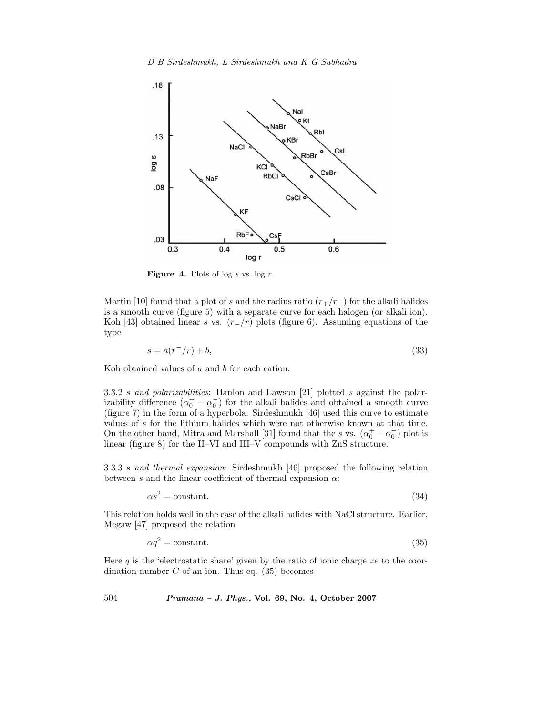

Figure 4. Plots of log s vs. log r.

Martin [10] found that a plot of s and the radius ratio  $(r_{+}/r_{-})$  for the alkali halides is a smooth curve (figure 5) with a separate curve for each halogen (or alkali ion). Koh [43] obtained linear s vs.  $(r_{-}/r)$  plots (figure 6). Assuming equations of the type

$$
s = a(r^-/r) + b,\tag{33}
$$

Koh obtained values of a and b for each cation.

3.3.2 s *and polarizabilities*: Hanlon and Lawson [21] plotted s against the polarizability difference  $(\alpha_0^+ - \alpha_0^-)$  for the alkali halides and obtained a smooth curve (figure 7) in the form of a hyperbola. Sirdeshmukh [46] used this curve to estimate values of s for the lithium halides which were not otherwise known at that time. On the other hand, Mitra and Marshall [31] found that the s vs.  $(\alpha_0^+ - \alpha_0^-)$  plot is linear (figure 8) for the II–VI and III–V compounds with ZnS structure.

3.3.3 s *and thermal expansion*: Sirdeshmukh [46] proposed the following relation between s and the linear coefficient of thermal expansion  $\alpha$ :

$$
\alpha s^2 = \text{constant.} \tag{34}
$$

This relation holds well in the case of the alkali halides with NaCl structure. Earlier, Megaw [47] proposed the relation

$$
\alpha q^2 = \text{constant.} \tag{35}
$$

Here  $q$  is the 'electrostatic share' given by the ratio of ionic charge  $ze$  to the coordination number  $C$  of an ion. Thus eq.  $(35)$  becomes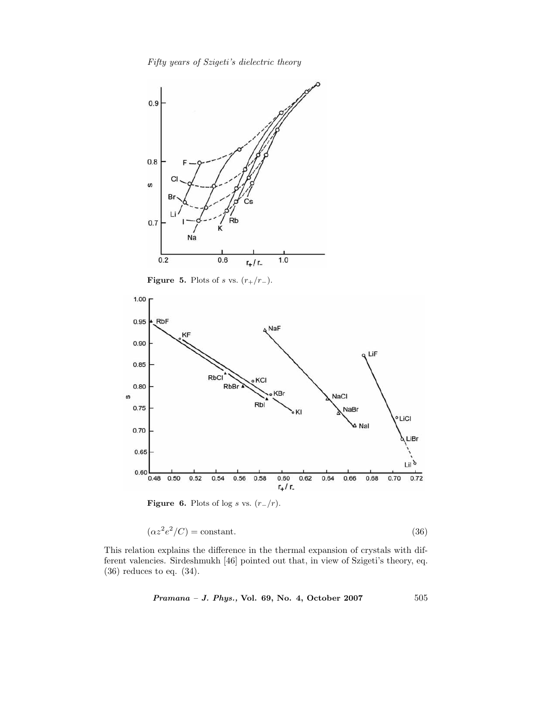*Fifty years of Szigeti's dielectric theory*



**Figure 5.** Plots of s vs.  $(r_{+}/r_{-})$ .



**Figure 6.** Plots of log s vs.  $(r_{-}/r)$ .

$$
(\alpha z^2 e^2 / C) = \text{constant.} \tag{36}
$$

This relation explains the difference in the thermal expansion of crystals with different valencies. Sirdeshmukh [46] pointed out that, in view of Szigeti's theory, eq. (36) reduces to eq. (34).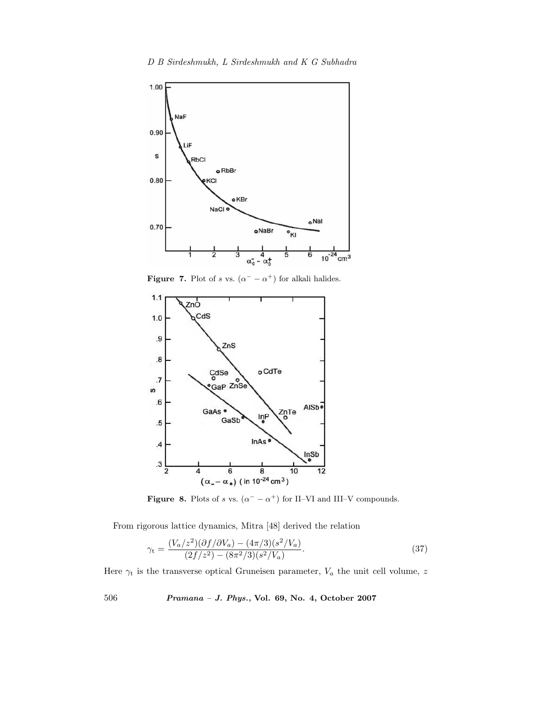

**Figure 7.** Plot of s vs.  $(\alpha^- - \alpha^+)$  for alkali halides.



**Figure 8.** Plots of s vs.  $(\alpha^- - \alpha^+)$  for II–VI and III–V compounds.

From rigorous lattice dynamics, Mitra [48] derived the relation

$$
\gamma_{\rm t} = \frac{(V_a/z^2)(\partial f/\partial V_a) - (4\pi/3)(s^2/V_a)}{(2f/z^2) - (8\pi^2/3)(s^2/V_a)}.\tag{37}
$$

Here  $\gamma_t$  is the transverse optical Gruneisen parameter,  $V_a$  the unit cell volume, z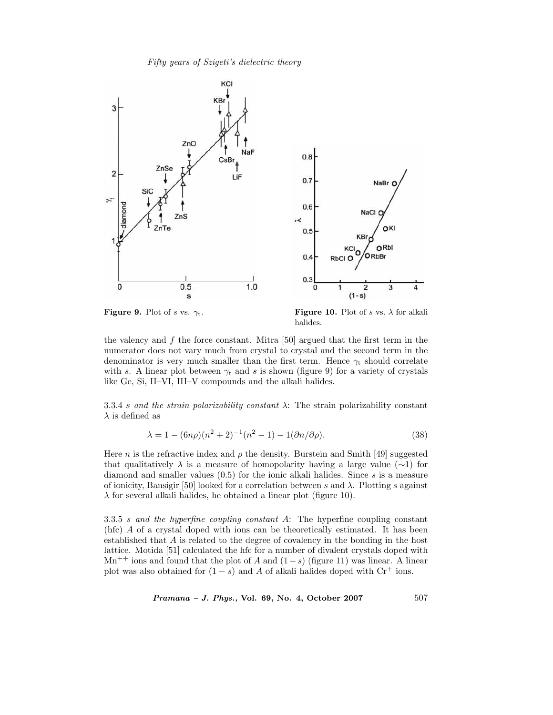

halides.

the valency and  $f$  the force constant. Mitra [50] argued that the first term in the numerator does not vary much from crystal to crystal and the second term in the denominator is very much smaller than the first term. Hence  $\gamma_t$  should correlate with s. A linear plot between  $\gamma_t$  and s is shown (figure 9) for a variety of crystals like Ge, Si, II–VI, III–V compounds and the alkali halides.

3.3.4 s *and the strain polarizability constant* λ: The strain polarizability constant  $\lambda$  is defined as

$$
\lambda = 1 - (6n\rho)(n^2 + 2)^{-1}(n^2 - 1) - 1(\partial n/\partial \rho).
$$
 (38)

Here *n* is the refractive index and  $\rho$  the density. Burstein and Smith [49] suggested that qualitatively  $\lambda$  is a measure of homopolarity having a large value (∼1) for diamond and smaller values  $(0.5)$  for the ionic alkali halides. Since s is a measure of ionicity, Bansigir [50] looked for a correlation between s and  $\lambda$ . Plotting s against  $\lambda$  for several alkali halides, he obtained a linear plot (figure 10).

3.3.5 s *and the hyperfine coupling constant* A: The hyperfine coupling constant (hfc) A of a crystal doped with ions can be theoretically estimated. It has been established that A is related to the degree of covalency in the bonding in the host lattice. Motida [51] calculated the hfc for a number of divalent crystals doped with  $Mn^{++}$  ions and found that the plot of A and  $(1-s)$  (figure 11) was linear. A linear plot was also obtained for  $(1-s)$  and A of alkali halides doped with  $Cr^+$  ions.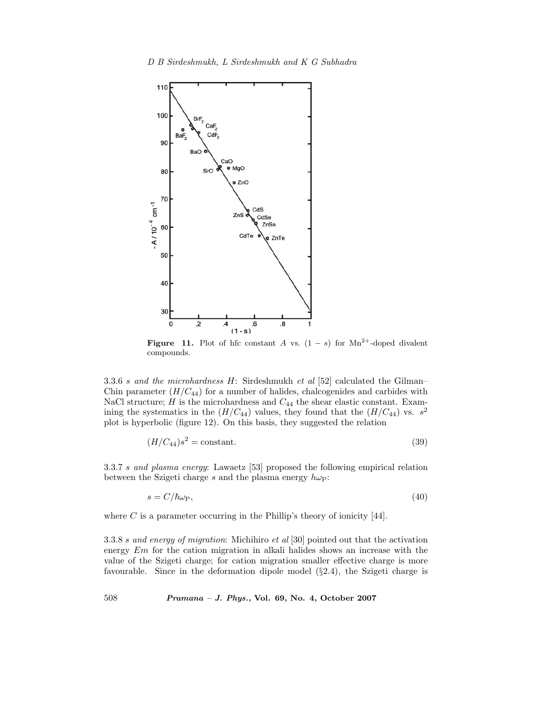

**Figure 11.** Plot of hfc constant A vs.  $(1 - s)$  for Mn<sup>2+</sup>-doped divalent compounds.

3.3.6 s *and the microhardness* H: Sirdeshmukh *et al* [52] calculated the Gilman– Chin parameter  $(H/C_{44})$  for a number of halides, chalcogenides and carbides with NaCl structure;  $H$  is the microhardness and  $C_{44}$  the shear elastic constant. Examining the systematics in the  $(H/C_{44})$  values, they found that the  $(H/C_{44})$  vs.  $s^2$ plot is hyperbolic (figure 12). On this basis, they suggested the relation

$$
(H/C_{44})s^2 = \text{constant.}\tag{39}
$$

3.3.7 s *and plasma energy*: Lawaetz [53] proposed the following empirical relation between the Szigeti charge s and the plasma energy  $h\omega_P$ :

$$
s = C/\hbar\omega_{\rm P},\tag{40}
$$

where  $C$  is a parameter occurring in the Phillip's theory of ionicity [44].

3.3.8 s *and energy of migration*: Michihiro *et al* [30] pointed out that the activation energy Em for the cation migration in alkali halides shows an increase with the value of the Szigeti charge; for cation migration smaller effective charge is more favourable. Since in the deformation dipole model (§2.4), the Szigeti charge is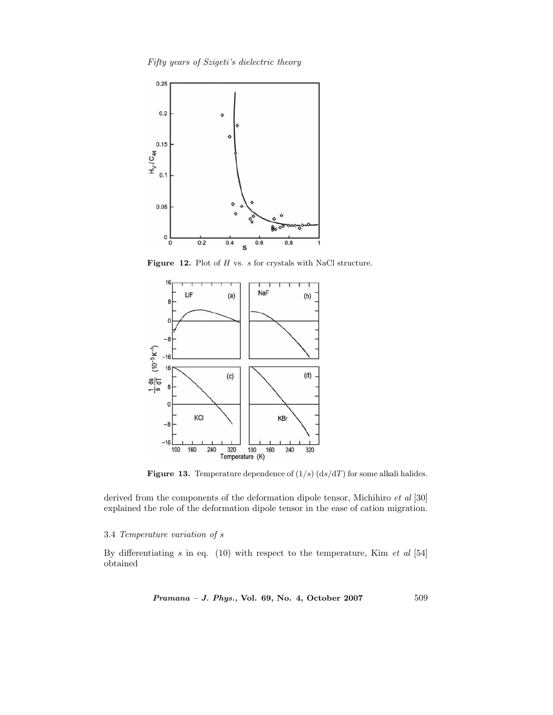*Fifty years of Szigeti's dielectric theory*



Figure 12. Plot of H vs. s for crystals with NaCl structure.



**Figure 13.** Temperature dependence of  $(1/s)$   $(ds/dT)$  for some alkali halides.

derived from the components of the deformation dipole tensor, Michihiro *et al* [30] explained the role of the deformation dipole tensor in the ease of cation migration.

# 3.4 *Temperature variation of* s

By differentiating s in eq. (10) with respect to the temperature, Kim *et al* [54] obtained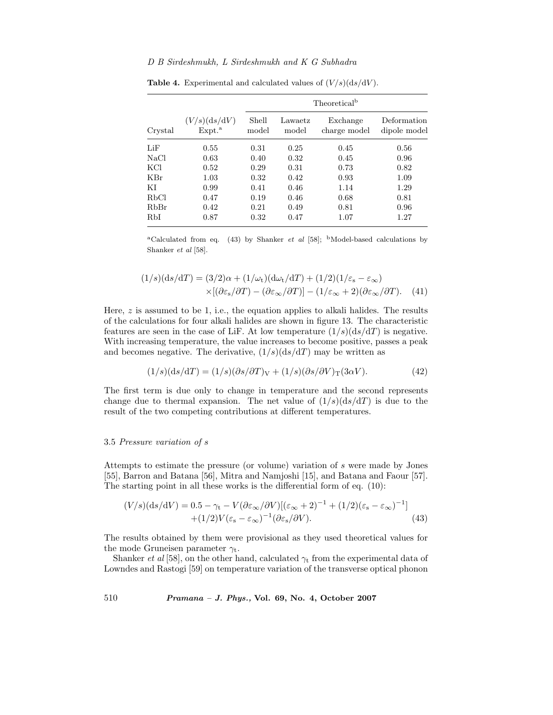|         |                                    | Theoretical <sup>b</sup> |                  |                          |                             |  |
|---------|------------------------------------|--------------------------|------------------|--------------------------|-----------------------------|--|
| Crystal | (V/s)(ds/dV)<br>Expt. <sup>a</sup> | Shell<br>model           | Lawaetz<br>model | Exchange<br>charge model | Deformation<br>dipole model |  |
| LiF     | 0.55                               | 0.31                     | 0.25             | 0.45                     | 0.56                        |  |
| NaCl    | 0.63                               | 0.40                     | 0.32             | 0.45                     | 0.96                        |  |
| KCl     | 0.52                               | 0.29                     | 0.31             | 0.73                     | 0.82                        |  |
| KBr     | 1.03                               | 0.32                     | 0.42             | 0.93                     | 1.09                        |  |
| ΚI      | 0.99                               | 0.41                     | 0.46             | 1.14                     | 1.29                        |  |
| RbCl    | 0.47                               | 0.19                     | 0.46             | 0.68                     | 0.81                        |  |
| RbBr    | 0.42                               | 0.21                     | 0.49             | 0.81                     | 0.96                        |  |
| RbI     | 0.87                               | 0.32                     | 0.47             | 1.07                     | 1.27                        |  |

**Table 4.** Experimental and calculated values of  $(V/s)(ds/dV)$ .

<sup>a</sup>Calculated from eq. (43) by Shanker *et al* [58]; <sup>b</sup>Model-based calculations by Shanker *et al* [58].

$$
(1/s)(ds/dT) = (3/2)\alpha + (1/\omega_t)(d\omega_t/dT) + (1/2)(1/\varepsilon_s - \varepsilon_\infty)
$$
  
 
$$
\times [(\partial \varepsilon_s/\partial T) - (\partial \varepsilon_\infty/\partial T)] - (1/\varepsilon_\infty + 2)(\partial \varepsilon_\infty/\partial T). \tag{41}
$$

Here,  $z$  is assumed to be 1, i.e., the equation applies to alkali halides. The results of the calculations for four alkali halides are shown in figure 13. The characteristic features are seen in the case of LiF. At low temperature  $(1/s)(ds/dT)$  is negative. With increasing temperature, the value increases to become positive, passes a peak and becomes negative. The derivative,  $(1/s)(ds/dT)$  may be written as

$$
(1/s)(ds/dT) = (1/s)(\partial s/\partial T)_V + (1/s)(\partial s/\partial V)_T(3\alpha V). \tag{42}
$$

The first term is due only to change in temperature and the second represents change due to thermal expansion. The net value of  $(1/s)(ds/dT)$  is due to the result of the two competing contributions at different temperatures.

# 3.5 *Pressure variation of* s

Attempts to estimate the pressure (or volume) variation of s were made by Jones [55], Barron and Batana [56], Mitra and Namjoshi [15], and Batana and Faour [57]. The starting point in all these works is the differential form of eq. (10):

$$
(V/s)(ds/dV) = 0.5 - \gamma_t - V(\partial \varepsilon_\infty / \partial V)[(\varepsilon_\infty + 2)^{-1} + (1/2)(\varepsilon_s - \varepsilon_\infty)^{-1}] + (1/2)V(\varepsilon_s - \varepsilon_\infty)^{-1}(\partial \varepsilon_s / \partial V).
$$
 (43)

The results obtained by them were provisional as they used theoretical values for the mode Gruneisen parameter  $\gamma_t$ .

Shanker *et al* [58], on the other hand, calculated  $\gamma_t$  from the experimental data of Lowndes and Rastogi [59] on temperature variation of the transverse optical phonon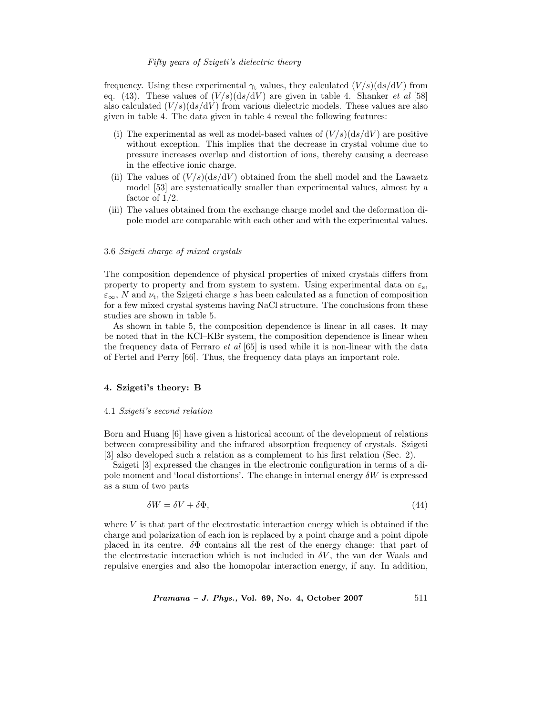frequency. Using these experimental  $\gamma_t$  values, they calculated  $(V/s)(ds/dV)$  from eq. (43). These values of  $(V/s)(ds/dV)$  are given in table 4. Shanker *et al* [58] also calculated  $(V/s)(ds/dV)$  from various dielectric models. These values are also given in table 4. The data given in table 4 reveal the following features:

- (i) The experimental as well as model-based values of  $(V/s)(ds/dV)$  are positive without exception. This implies that the decrease in crystal volume due to pressure increases overlap and distortion of ions, thereby causing a decrease in the effective ionic charge.
- (ii) The values of  $(V/s)(ds/dV)$  obtained from the shell model and the Lawaetz model [53] are systematically smaller than experimental values, almost by a factor of  $1/2$ .
- (iii) The values obtained from the exchange charge model and the deformation dipole model are comparable with each other and with the experimental values.

### 3.6 *Szigeti charge of mixed crystals*

The composition dependence of physical properties of mixed crystals differs from property to property and from system to system. Using experimental data on  $\varepsilon_{s}$ ,  $\varepsilon_{\infty}$ , N and  $\nu_{\rm t}$ , the Szigeti charge s has been calculated as a function of composition for a few mixed crystal systems having NaCl structure. The conclusions from these studies are shown in table 5.

As shown in table 5, the composition dependence is linear in all cases. It may be noted that in the KCl–KBr system, the composition dependence is linear when the frequency data of Ferraro *et al* [65] is used while it is non-linear with the data of Fertel and Perry [66]. Thus, the frequency data plays an important role.

# **4. Szigeti's theory: B**

### 4.1 *Szigeti's second relation*

Born and Huang [6] have given a historical account of the development of relations between compressibility and the infrared absorption frequency of crystals. Szigeti [3] also developed such a relation as a complement to his first relation (Sec. 2).

Szigeti [3] expressed the changes in the electronic configuration in terms of a dipole moment and 'local distortions'. The change in internal energy  $\delta W$  is expressed as a sum of two parts

$$
\delta W = \delta V + \delta \Phi,\tag{44}
$$

where  $V$  is that part of the electrostatic interaction energy which is obtained if the charge and polarization of each ion is replaced by a point charge and a point dipole placed in its centre.  $\delta\Phi$  contains all the rest of the energy change: that part of the electrostatic interaction which is not included in  $\delta V$ , the van der Waals and repulsive energies and also the homopolar interaction energy, if any. In addition,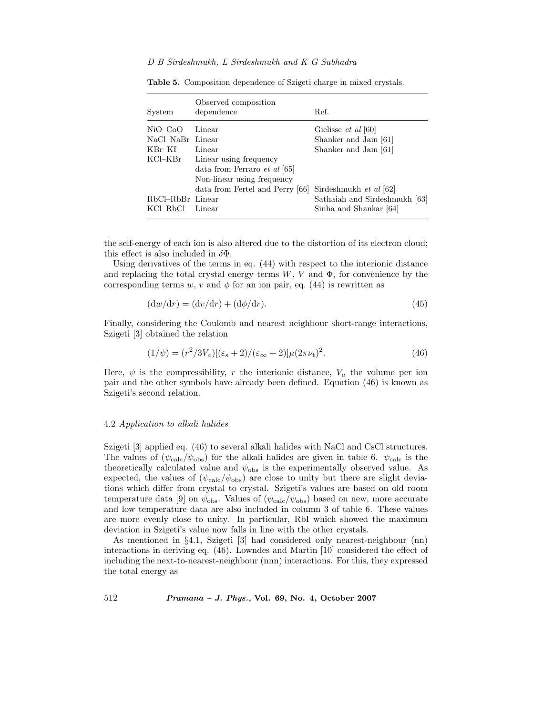| System           | Observed composition<br>dependence  | Ref.                          |
|------------------|-------------------------------------|-------------------------------|
| $NiO-CoO$        | Linear                              | Gielisse et al [60]           |
| NaCl-NaBr Linear |                                     | Shanker and Jain [61]         |
| $KBr-KI$         | Linear                              | Shanker and Jain [61]         |
| KCl–KBr          | Linear using frequency              |                               |
|                  | data from Ferraro <i>et al</i> [65] |                               |
|                  | Non-linear using frequency          |                               |
|                  | data from Fertel and Perry [66]     | Sirdeshmukh et al [62]        |
| RbCl-RbBr Linear |                                     | Sathaiah and Sirdeshmukh [63] |
| KCl–RbCl         | Linear                              | Sinha and Shankar [64]        |

**Table 5.** Composition dependence of Szigeti charge in mixed crystals.

the self-energy of each ion is also altered due to the distortion of its electron cloud; this effect is also included in  $\delta\Phi$ .

Using derivatives of the terms in eq. (44) with respect to the interionic distance and replacing the total crystal energy terms  $W, V$  and  $\Phi$ , for convenience by the corresponding terms w, v and  $\phi$  for an ion pair, eq. (44) is rewritten as

$$
(\mathrm{d}w/\mathrm{d}r) = (\mathrm{d}v/\mathrm{d}r) + (\mathrm{d}\phi/\mathrm{d}r). \tag{45}
$$

Finally, considering the Coulomb and nearest neighbour short-range interactions, Szigeti [3] obtained the relation

$$
(1/\psi) = (r^2/3V_a)[(\varepsilon_s + 2)/(\varepsilon_\infty + 2)]\mu(2\pi\nu_t)^2.
$$
 (46)

Here,  $\psi$  is the compressibility, r the interionic distance,  $V_a$  the volume per ion pair and the other symbols have already been defined. Equation (46) is known as Szigeti's second relation.

#### 4.2 *Application to alkali halides*

Szigeti [3] applied eq. (46) to several alkali halides with NaCl and CsCl structures. The values of  $(\psi_{\text{calc}}/\psi_{\text{obs}})$  for the alkali halides are given in table 6.  $\psi_{\text{calc}}$  is the theoretically calculated value and  $\psi_{\text{obs}}$  is the experimentally observed value. As expected, the values of  $(\psi_{\text{calc}}/\psi_{\text{obs}})$  are close to unity but there are slight deviations which differ from crystal to crystal. Szigeti's values are based on old room temperature data [9] on  $\psi_{\text{obs}}$ . Values of  $(\psi_{\text{calc}}/\psi_{\text{obs}})$  based on new, more accurate and low temperature data are also included in column 3 of table 6. These values are more evenly close to unity. In particular, RbI which showed the maximum deviation in Szigeti's value now falls in line with the other crystals.

As mentioned in §4.1, Szigeti [3] had considered only nearest-neighbour (nn) interactions in deriving eq. (46). Lowndes and Martin [10] considered the effect of including the next-to-nearest-neighbour (nnn) interactions. For this, they expressed the total energy as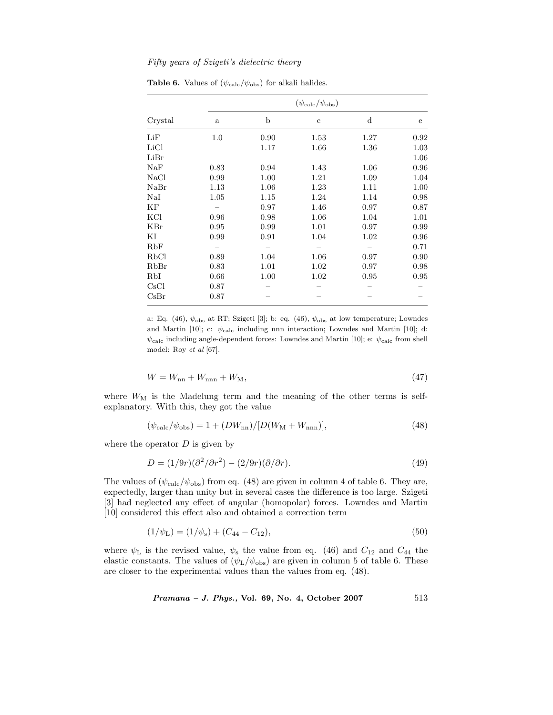|            | $(\psi_{\rm calc}/\psi_{\rm obs})$ |      |             |             |      |  |  |
|------------|------------------------------------|------|-------------|-------------|------|--|--|
| Crystal    | $\mathbf{a}$                       | b    | $\mathbf c$ | $\mathbf d$ | e    |  |  |
| LiF        | 1.0                                | 0.90 | 1.53        | 1.27        | 0.92 |  |  |
| LiCl       |                                    | 1.17 | 1.66        | 1.36        | 1.03 |  |  |
| LiBr       |                                    |      |             |             | 1.06 |  |  |
| NaF        | 0.83                               | 0.94 | 1.43        | 1.06        | 0.96 |  |  |
| NaCl       | 0.99                               | 1.00 | 1.21        | 1.09        | 1.04 |  |  |
| NaBr       | 1.13                               | 1.06 | 1.23        | 1.11        | 1.00 |  |  |
| $\rm Na I$ | 1.05                               | 1.15 | 1.24        | 1.14        | 0.98 |  |  |
| ΚF         |                                    | 0.97 | 1.46        | 0.97        | 0.87 |  |  |
| KCl        | 0.96                               | 0.98 | 1.06        | 1.04        | 1.01 |  |  |
| KBr        | 0.95                               | 0.99 | 1.01        | 0.97        | 0.99 |  |  |
| ΚI         | 0.99                               | 0.91 | 1.04        | 1.02        | 0.96 |  |  |
| RbF        |                                    |      |             |             | 0.71 |  |  |
| RbCl       | 0.89                               | 1.04 | 1.06        | 0.97        | 0.90 |  |  |
| RbBr       | 0.83                               | 1.01 | 1.02        | 0.97        | 0.98 |  |  |
| RbI        | 0.66                               | 1.00 | 1.02        | 0.95        | 0.95 |  |  |
| CsCl       | 0.87                               |      |             |             |      |  |  |
| CsBr       | 0.87                               |      |             |             |      |  |  |

**Table 6.** Values of  $(\psi_{\text{calc}}/\psi_{\text{obs}})$  for alkali halides.

a: Eq. (46),  $\psi_{\rm obs}$  at RT; Szigeti [3]; b: eq. (46),  $\psi_{\rm obs}$  at low temperature; Lowndes and Martin [10]; c:  $\psi_{\text{calc}}$  including nnn interaction; Lowndes and Martin [10]; d:  $\psi_{\text{calc}}$  including angle-dependent forces: Lowndes and Martin [10]; e:  $\psi_{\text{calc}}$  from shell model: Roy *et al* [67].

$$
W = W_{\rm nn} + W_{\rm nnn} + W_{\rm M},\tag{47}
$$

where  $W_M$  is the Madelung term and the meaning of the other terms is selfexplanatory. With this, they got the value

$$
(\psi_{\text{calc}}/\psi_{\text{obs}}) = 1 + (DW_{\text{nn}})/[D(W_{\text{M}} + W_{\text{nnn}})],\tag{48}
$$

where the operator  $D$  is given by

$$
D = (1/9r)(\partial^2/\partial r^2) - (2/9r)(\partial/\partial r). \tag{49}
$$

The values of  $(\psi_{\text{calc}}/\psi_{\text{obs}})$  from eq. (48) are given in column 4 of table 6. They are, expectedly, larger than unity but in several cases the difference is too large. Szigeti [3] had neglected any effect of angular (homopolar) forces. Lowndes and Martin [10] considered this effect also and obtained a correction term

$$
(1/\psi_{\rm L}) = (1/\psi_{\rm s}) + (C_{44} - C_{12}), \tag{50}
$$

where  $\psi$ <sub>L</sub> is the revised value,  $\psi$ <sub>s</sub> the value from eq. (46) and  $C_{12}$  and  $C_{44}$  the elastic constants. The values of  $(\psi_{\rm L}/\psi_{\rm obs})$  are given in column 5 of table 6. These are closer to the experimental values than the values from eq. (48).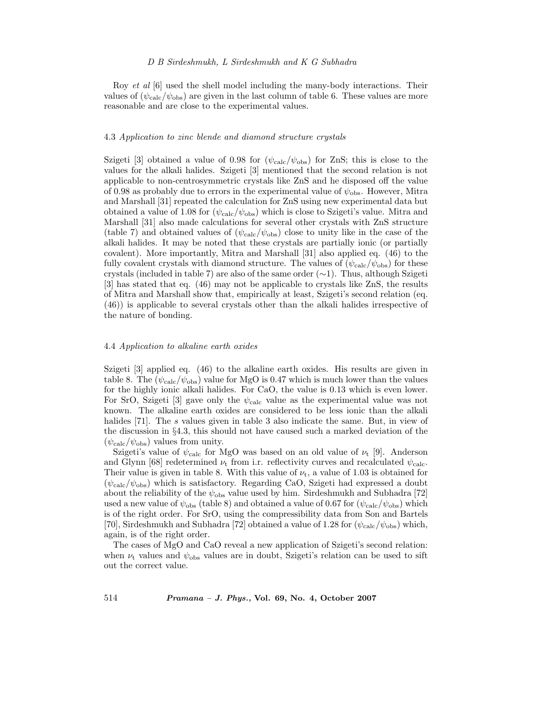Roy *et al* [6] used the shell model including the many-body interactions. Their values of  $(\psi_{\text{calc}}/\psi_{\text{obs}})$  are given in the last column of table 6. These values are more reasonable and are close to the experimental values.

#### 4.3 *Application to zinc blende and diamond structure crystals*

Szigeti [3] obtained a value of 0.98 for  $(\psi_{\text{calc}}/\psi_{\text{obs}})$  for ZnS; this is close to the values for the alkali halides. Szigeti [3] mentioned that the second relation is not applicable to non-centrosymmetric crystals like ZnS and he disposed off the value of 0.98 as probably due to errors in the experimental value of  $\psi_{\text{obs}}$ . However, Mitra and Marshall [31] repeated the calculation for ZnS using new experimental data but obtained a value of 1.08 for  $(\psi_{\rm calc}/\psi_{\rm obs})$  which is close to Szigeti's value. Mitra and Marshall [31] also made calculations for several other crystals with ZnS structure (table 7) and obtained values of  $(\psi_{\text{calc}}/\psi_{\text{obs}})$  close to unity like in the case of the alkali halides. It may be noted that these crystals are partially ionic (or partially covalent). More importantly, Mitra and Marshall [31] also applied eq. (46) to the fully covalent crystals with diamond structure. The values of  $(\psi_{\rm calc}/\psi_{\rm obs})$  for these crystals (included in table 7) are also of the same order (∼1). Thus, although Szigeti [3] has stated that eq. (46) may not be applicable to crystals like ZnS, the results of Mitra and Marshall show that, empirically at least, Szigeti's second relation (eq. (46)) is applicable to several crystals other than the alkali halides irrespective of the nature of bonding.

#### 4.4 *Application to alkaline earth oxides*

Szigeti [3] applied eq. (46) to the alkaline earth oxides. His results are given in table 8. The ( $\psi_{\text{calc}}/\psi_{\text{obs}}$ ) value for MgO is 0.47 which is much lower than the values for the highly ionic alkali halides. For CaO, the value is 0.13 which is even lower. For SrO, Szigeti [3] gave only the  $\psi_{\text{calc}}$  value as the experimental value was not known. The alkaline earth oxides are considered to be less ionic than the alkali halides [71]. The s values given in table 3 also indicate the same. But, in view of the discussion in §4.3, this should not have caused such a marked deviation of the  $(\psi_{\rm calc}/\psi_{\rm obs})$  values from unity.

Szigeti's value of  $\psi_{\text{calc}}$  for MgO was based on an old value of  $\nu_{t}$  [9]. Anderson and Glynn [68] redetermined  $\nu_t$  from i.r. reflectivity curves and recalculated  $\psi_{\text{calc}}$ . Their value is given in table 8. With this value of  $\nu_t$ , a value of 1.03 is obtained for  $(\psi_{\text{calc}}/\psi_{\text{obs}})$  which is satisfactory. Regarding CaO, Szigeti had expressed a doubt about the reliability of the  $\psi_{obs}$  value used by him. Sirdeshmukh and Subhadra [72] used a new value of  $\psi_{obs}$  (table 8) and obtained a value of 0.67 for  $(\psi_{calc}/\psi_{obs})$  which is of the right order. For SrO, using the compressibility data from Son and Bartels [70], Sirdeshmukh and Subhadra [72] obtained a value of 1.28 for  $(\psi_{\text{calc}}/\psi_{\text{obs}})$  which, again, is of the right order.

The cases of MgO and CaO reveal a new application of Szigeti's second relation: when  $\nu_t$  values and  $\psi_{\text{obs}}$  values are in doubt, Szigeti's relation can be used to sift out the correct value.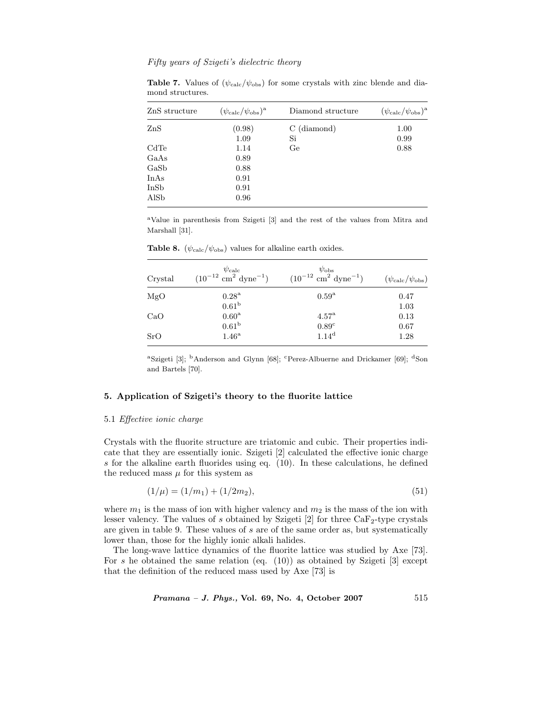| $\rm ZnS$ structure   | $(\psi_{\rm calc}/\psi_{\rm obs})^{\rm a}$ | Diamond structure | $(\psi_{\rm calc}/\psi_{\rm obs})^{\rm a}$ |
|-----------------------|--------------------------------------------|-------------------|--------------------------------------------|
| $\rm ZnS$             | (0.98)                                     | $C$ (diamond)     | 1.00                                       |
|                       | 1.09                                       | Si                | 0.99                                       |
| CdTe                  | 1.14                                       | Ge                | 0.88                                       |
| $_{\rm GaAs}$         | 0.89                                       |                   |                                            |
| $\operatorname{GaSb}$ | 0.88                                       |                   |                                            |
| $_{\rm InAs}$         | 0.91                                       |                   |                                            |
| $_{\rm InSb}$         | 0.91                                       |                   |                                            |
| AlSb                  | 0.96                                       |                   |                                            |
|                       |                                            |                   |                                            |

**Table 7.** Values of  $(\psi_{\text{calc}}/\psi_{\text{obs}})$  for some crystals with zinc blende and diamond structures.

<sup>a</sup>Value in parenthesis from Szigeti [3] and the rest of the values from Mitra and Marshall [31].

| Crystal | $\psi_{\rm calc}$<br>$(10^{-12}$ cm <sup>2</sup> dyne <sup>-1</sup> ) | $\psi_{\rm obs}$<br>$(10^{-12}$ cm <sup>2</sup> dyne <sup>-1</sup> ) | $(\psi_{\rm calc}/\psi_{\rm obs})$ |
|---------|-----------------------------------------------------------------------|----------------------------------------------------------------------|------------------------------------|
| MgO     | $0.28^{\rm a}$                                                        | $0.59^{\mathrm{a}}$                                                  | 0.47                               |
|         | 0.61 <sup>b</sup>                                                     |                                                                      | 1.03                               |
| CaO     | 0.60 <sup>a</sup>                                                     | 4.57 <sup>a</sup>                                                    | 0.13                               |
|         | 0.61 <sup>b</sup>                                                     | 0.89 <sup>c</sup>                                                    | 0.67                               |
| SrO     | 1.46 <sup>a</sup>                                                     | 1.14 <sup>d</sup>                                                    | 1.28                               |

**Table 8.** ( $\psi_{\text{calc}}/\psi_{\text{obs}}$ ) values for alkaline earth oxides.

<sup>a</sup>Szigeti [3]; <sup>b</sup>Anderson and Glynn [68]; <sup>c</sup>Perez-Albuerne and Drickamer [69]; <sup>d</sup>Son and Bartels [70].

# **5. Application of Szigeti's theory to the fluorite lattice**

# 5.1 *Effective ionic charge*

Crystals with the fluorite structure are triatomic and cubic. Their properties indicate that they are essentially ionic. Szigeti [2] calculated the effective ionic charge s for the alkaline earth fluorides using eq. (10). In these calculations, he defined the reduced mass  $\mu$  for this system as

$$
(1/\mu) = (1/m_1) + (1/2m_2),\tag{51}
$$

where  $m_1$  is the mass of ion with higher valency and  $m_2$  is the mass of the ion with lesser valency. The values of s obtained by Szigeti  $[2]$  for three CaF<sub>2</sub>-type crystals are given in table 9. These values of s are of the same order as, but systematically lower than, those for the highly ionic alkali halides.

The long-wave lattice dynamics of the fluorite lattice was studied by Axe [73]. For s he obtained the same relation (eq.  $(10)$ ) as obtained by Szigeti [3] except that the definition of the reduced mass used by Axe [73] is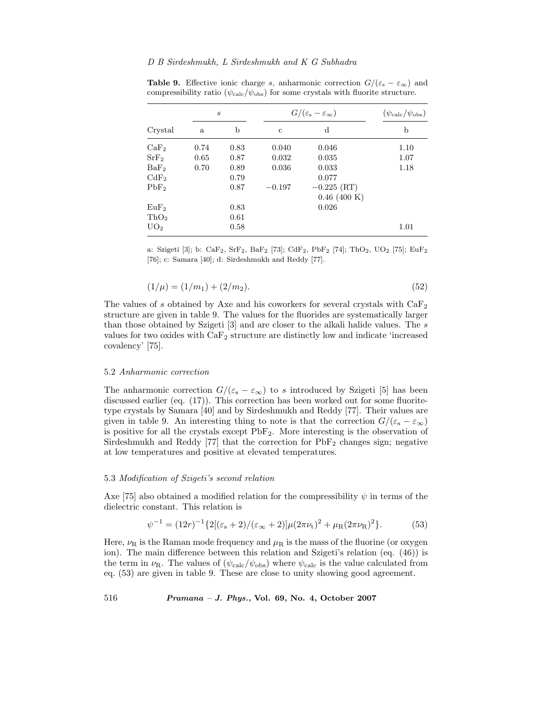|                  | $\mathcal{S}_{0}$ |      |             | $G/(\varepsilon_{\rm s}-\varepsilon_{\infty})$ |      |  |
|------------------|-------------------|------|-------------|------------------------------------------------|------|--|
| $Crystal$        | a                 | b    | $\mathbf c$ | $\rm d$                                        | b    |  |
| $\rm CaF_2$      | 0.74              | 0.83 | 0.040       | 0.046                                          | 1.10 |  |
| $\rm SrF_2$      | 0.65              | 0.87 | 0.032       | 0.035                                          | 1.07 |  |
| BaF <sub>2</sub> | 0.70              | 0.89 | 0.036       | 0.033                                          | 1.18 |  |
| $\rm CdF_{2}$    |                   | 0.79 |             | 0.077                                          |      |  |
| PbF <sub>2</sub> |                   | 0.87 | $-0.197$    | $-0.225$ (RT)                                  |      |  |
|                  |                   |      |             | $0.46$ (400 K)                                 |      |  |
| EuF <sub>2</sub> |                   | 0.83 |             | 0.026                                          |      |  |
| ThO <sub>2</sub> |                   | 0.61 |             |                                                |      |  |
| UO <sub>2</sub>  |                   | 0.58 |             |                                                | 1.01 |  |
|                  |                   |      |             |                                                |      |  |

**Table 9.** Effective ionic charge s, anharmonic correction  $G/(\varepsilon_{s} - \varepsilon_{\infty})$  and compressibility ratio ( $\psi_{\text{calc}}/\psi_{\text{obs}}$ ) for some crystals with fluorite structure.

a: Szigeti [3]; b: CaF<sub>2</sub>, SrF<sub>2</sub>, BaF<sub>2</sub> [73]; CdF<sub>2</sub>, PbF<sub>2</sub> [74]; ThO<sub>2</sub>, UO<sub>2</sub> [75]; EuF<sub>2</sub> [76]; c: Samara [40]; d: Sirdeshmukh and Reddy [77].

$$
(1/\mu) = (1/m_1) + (2/m_2). \tag{52}
$$

The values of s obtained by Axe and his coworkers for several crystals with  $\text{CaF}_2$ structure are given in table 9. The values for the fluorides are systematically larger than those obtained by Szigeti [3] and are closer to the alkali halide values. The s values for two oxides with CaF<sup>2</sup> structure are distinctly low and indicate 'increased covalency' [75].

# 5.2 *Anharmonic correction*

The anharmonic correction  $G/(\varepsilon_{s} - \varepsilon_{\infty})$  to s introduced by Szigeti [5] has been discussed earlier (eq. (17)). This correction has been worked out for some fluoritetype crystals by Samara [40] and by Sirdeshmukh and Reddy [77]. Their values are given in table 9. An interesting thing to note is that the correction  $G/(\varepsilon_{s} - \varepsilon_{\infty})$ is positive for all the crystals except PbF2. More interesting is the observation of Sirdeshmukh and Reddy [77] that the correction for  $PbF_2$  changes sign; negative at low temperatures and positive at elevated temperatures.

#### 5.3 *Modification of Szigeti's second relation*

Axe [75] also obtained a modified relation for the compressibility  $\psi$  in terms of the dielectric constant. This relation is

$$
\psi^{-1} = (12r)^{-1} \{ 2[(\varepsilon_{\rm s} + 2) / (\varepsilon_{\infty} + 2)] \mu (2\pi \nu_{\rm t})^2 + \mu_{\rm R} (2\pi \nu_{\rm R})^2 \}. \tag{53}
$$

Here,  $\nu_R$  is the Raman mode frequency and  $\mu_R$  is the mass of the fluorine (or oxygen ion). The main difference between this relation and Szigeti's relation (eq. (46)) is the term in  $\nu_{\rm R}$ . The values of  $(\psi_{\rm calc}/\psi_{\rm obs})$  where  $\psi_{\rm calc}$  is the value calculated from eq. (53) are given in table 9. These are close to unity showing good agreement.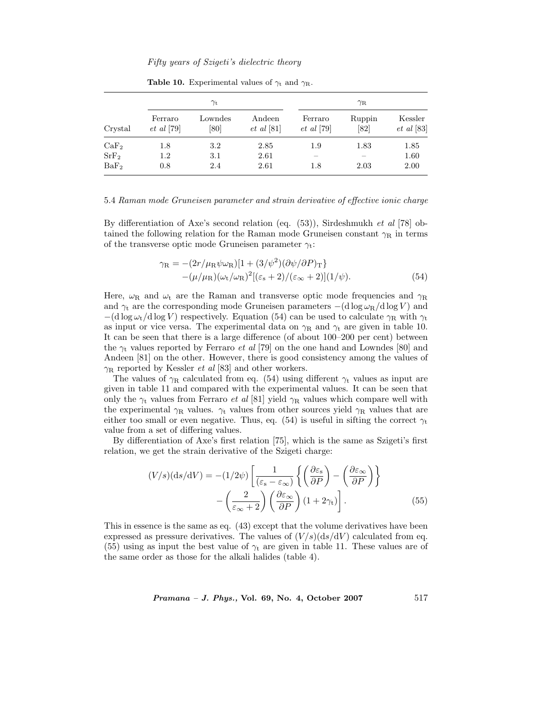|                  | $\gamma_{\rm t}$            |                 |                            | $\gamma_{\rm R}$            |                |                             |
|------------------|-----------------------------|-----------------|----------------------------|-----------------------------|----------------|-----------------------------|
| Crystal          | Ferraro<br>$et \ al \ [79]$ | Lowndes<br>[80] | Andeen<br>$et \ al \ [81]$ | Ferraro<br>$et \ al \ [79]$ | Ruppin<br>[82] | Kessler<br>$et \ al \ [83]$ |
| CaF <sub>2</sub> | 1.8                         | $3.2\,$         | 2.85                       | 1.9                         | 1.83           | 1.85                        |
| SrF <sub>2</sub> | 1.2                         | 3.1             | 2.61                       |                             |                | 1.60                        |
| BaF <sub>2</sub> | 0.8                         | 2.4             | 2.61                       | 1.8                         | 2.03           | 2.00                        |

**Table 10.** Experimental values of  $\gamma_t$  and  $\gamma_R$ .

#### 5.4 *Raman mode Gruneisen parameter and strain derivative of effective ionic charge*

By differentiation of Axe's second relation (eq. (53)), Sirdeshmukh *et al* [78] obtained the following relation for the Raman mode Gruneisen constant  $\gamma_R$  in terms of the transverse optic mode Gruneisen parameter  $\gamma_t$ :

$$
\gamma_{\rm R} = -(2r/\mu_{\rm R}\psi\omega_{\rm R})[1 + (3/\psi^2)(\partial\psi/\partial P)_{\rm T}]
$$
  
 
$$
-(\mu/\mu_{\rm R})(\omega_{\rm t}/\omega_{\rm R})^2[(\varepsilon_{\rm s} + 2)/(\varepsilon_{\infty} + 2)](1/\psi).
$$
 (54)

Here,  $\omega_R$  and  $\omega_t$  are the Raman and transverse optic mode frequencies and  $\gamma_R$ and  $\gamma_t$  are the corresponding mode Gruneisen parameters  $-(d \log \omega_R / d \log V)$  and  $-(d \log \omega_t / d \log V)$  respectively. Equation (54) can be used to calculate  $\gamma_R$  with  $\gamma_t$ as input or vice versa. The experimental data on  $\gamma_R$  and  $\gamma_t$  are given in table 10. It can be seen that there is a large difference (of about 100–200 per cent) between the  $\gamma_t$  values reported by Ferraro *et al* [79] on the one hand and Lowndes [80] and Andeen [81] on the other. However, there is good consistency among the values of  $\gamma_R$  reported by Kessler *et al* [83] and other workers.

The values of  $\gamma_R$  calculated from eq. (54) using different  $\gamma_t$  values as input are given in table 11 and compared with the experimental values. It can be seen that only the  $\gamma_t$  values from Ferraro *et al* [81] yield  $\gamma_R$  values which compare well with the experimental  $\gamma_R$  values.  $\gamma_t$  values from other sources yield  $\gamma_R$  values that are either too small or even negative. Thus, eq. (54) is useful in sifting the correct  $\gamma_t$ value from a set of differing values.

By differentiation of Axe's first relation [75], which is the same as Szigeti's first relation, we get the strain derivative of the Szigeti charge:

$$
(V/s)(\mathrm{d}s/\mathrm{d}V) = -(1/2\psi) \left[ \frac{1}{(\varepsilon_{\mathrm{s}} - \varepsilon_{\infty})} \left\{ \left( \frac{\partial \varepsilon_{\mathrm{s}}}{\partial P} \right) - \left( \frac{\partial \varepsilon_{\infty}}{\partial P} \right) \right\} - \left( \frac{2}{\varepsilon_{\infty} + 2} \right) \left( \frac{\partial \varepsilon_{\infty}}{\partial P} \right) (1 + 2\gamma_{\mathrm{t}}) \right].
$$
 (55)

This in essence is the same as eq. (43) except that the volume derivatives have been expressed as pressure derivatives. The values of  $(V/s)(ds/dV)$  calculated from eq. (55) using as input the best value of  $\gamma_t$  are given in table 11. These values are of the same order as those for the alkali halides (table 4).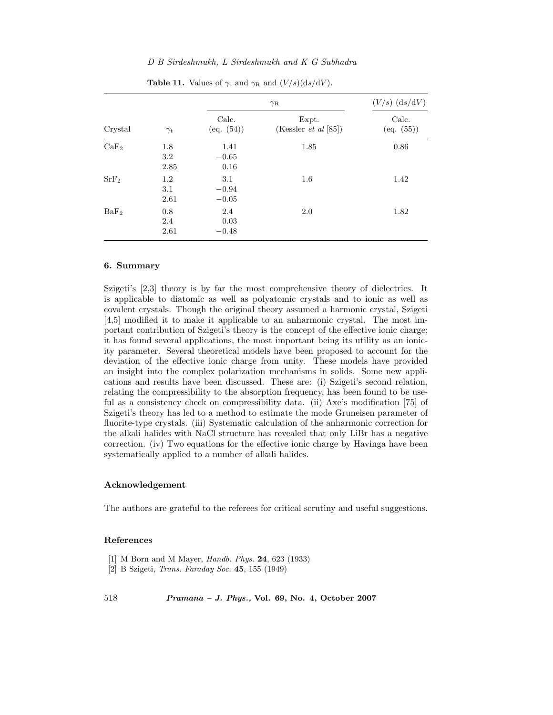| Crystal          |                    |                           | $\gamma_{\rm R}$                     |                     |  |
|------------------|--------------------|---------------------------|--------------------------------------|---------------------|--|
|                  | $\gamma_{\rm t}$   | Calc.<br>(eq. (54))       | Expt.<br>(Kessler <i>et al</i> [85]) | Calc.<br>(eq. (55)) |  |
| CaF <sub>2</sub> | 1.8<br>3.2<br>2.85 | 1.41<br>$-0.65$<br>0.16   | 1.85                                 | 0.86                |  |
| SrF <sub>2</sub> | 1.2<br>3.1<br>2.61 | 3.1<br>$-0.94$<br>$-0.05$ | $1.6\,$                              | 1.42                |  |
| BaF <sub>2</sub> | 0.8<br>2.4<br>2.61 | 2.4<br>0.03<br>$-0.48$    | 2.0                                  | 1.82                |  |

**Table 11.** Values of  $\gamma_t$  and  $\gamma_R$  and  $(V/s)(ds/dV)$ .

# **6. Summary**

Szigeti's [2,3] theory is by far the most comprehensive theory of dielectrics. It is applicable to diatomic as well as polyatomic crystals and to ionic as well as covalent crystals. Though the original theory assumed a harmonic crystal, Szigeti [4,5] modified it to make it applicable to an anharmonic crystal. The most important contribution of Szigeti's theory is the concept of the effective ionic charge; it has found several applications, the most important being its utility as an ionicity parameter. Several theoretical models have been proposed to account for the deviation of the effective ionic charge from unity. These models have provided an insight into the complex polarization mechanisms in solids. Some new applications and results have been discussed. These are: (i) Szigeti's second relation, relating the compressibility to the absorption frequency, has been found to be useful as a consistency check on compressibility data. (ii) Axe's modification [75] of Szigeti's theory has led to a method to estimate the mode Gruneisen parameter of fluorite-type crystals. (iii) Systematic calculation of the anharmonic correction for the alkali halides with NaCl structure has revealed that only LiBr has a negative correction. (iv) Two equations for the effective ionic charge by Havinga have been systematically applied to a number of alkali halides.

# **Acknowledgement**

The authors are grateful to the referees for critical scrutiny and useful suggestions.

### **References**

- [1] M Born and M Mayer, *Handb. Phys.* **24**, 623 (1933)
- [2] B Szigeti, *Trans. Faraday Soc.* **45**, 155 (1949)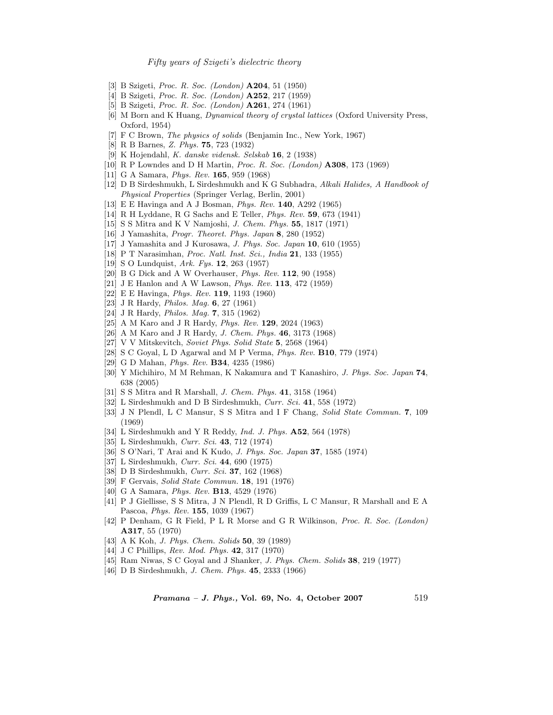- [3] B Szigeti, *Proc. R. Soc. (London)* **A204**, 51 (1950)
- [4] B Szigeti, *Proc. R. Soc. (London)* **A252**, 217 (1959)
- [5] B Szigeti, *Proc. R. Soc. (London)* **A261**, 274 (1961)
- [6] M Born and K Huang, *Dynamical theory of crystal lattices* (Oxford University Press, Oxford, 1954)
- [7] F C Brown, *The physics of solids* (Benjamin Inc., New York, 1967)
- [8] R B Barnes, *Z. Phys.* **75**, 723 (1932)
- [9] K Hojendahl, *K. danske vidensk. Selskab* **16**, 2 (1938)
- [10] R P Lowndes and D H Martin, *Proc. R. Soc. (London)* **A308**, 173 (1969)
- [11] G A Samara, *Phys. Rev.* **165**, 959 (1968)
- [12] D B Sirdeshmukh, L Sirdeshmukh and K G Subhadra, *Alkali Halides, A Handbook of Physical Properties* (Springer Verlag, Berlin, 2001)
- [13] E E Havinga and A J Bosman, *Phys. Rev.* **140**, A292 (1965)
- [14] R H Lyddane, R G Sachs and E Teller, *Phys. Rev.* **59**, 673 (1941)
- [15] S S Mitra and K V Namjoshi, *J. Chem. Phys.* **55**, 1817 (1971)
- [16] J Yamashita, *Progr. Theoret. Phys. Japan* **8**, 280 (1952)
- [17] J Yamashita and J Kurosawa, *J. Phys. Soc. Japan* **10**, 610 (1955)
- [18] P T Narasimhan, *Proc. Natl. Inst. Sci., India* **21**, 133 (1955)
- [19] S O Lundquist, *Ark. Fys.* **12**, 263 (1957)
- [20] B G Dick and A W Overhauser, *Phys. Rev.* **112**, 90 (1958)
- [21] J E Hanlon and A W Lawson, *Phys. Rev.* **113**, 472 (1959)
- [22] E E Havinga, *Phys. Rev.* **119**, 1193 (1960)
- [23] J R Hardy, *Philos. Mag.* **6**, 27 (1961)
- [24] J R Hardy, *Philos. Mag.* **7**, 315 (1962)
- [25] A M Karo and J R Hardy, *Phys. Rev.* **129**, 2024 (1963)
- [26] A M Karo and J R Hardy, *J. Chem. Phys.* **46**, 3173 (1968)
- [27] V V Mitskevitch, *Soviet Phys. Solid State* **5**, 2568 (1964)
- [28] S C Goyal, L D Agarwal and M P Verma, *Phys. Rev.* **B10**, 779 (1974)
- [29] G D Mahan, *Phys. Rev.* **B34**, 4235 (1986)
- [30] Y Michihiro, M M Rehman, K Nakamura and T Kanashiro, *J. Phys. Soc. Japan* **74**, 638 (2005)
- [31] S S Mitra and R Marshall, *J. Chem. Phys.* **41**, 3158 (1964)
- [32] L Sirdeshmukh and D B Sirdeshmukh, *Curr. Sci.* **41**, 558 (1972)
- [33] J N Plendl, L C Mansur, S S Mitra and I F Chang, *Solid State Commun.* **7**, 109 (1969)
- [34] L Sirdeshmukh and Y R Reddy, *Ind. J. Phys.* **A52**, 564 (1978)
- [35] L Sirdeshmukh, *Curr. Sci.* **43**, 712 (1974)
- [36] S O'Nari, T Arai and K Kudo, *J. Phys. Soc. Japan* **37**, 1585 (1974)
- [37] L Sirdeshmukh, *Curr. Sci.* **44**, 690 (1975)
- [38] D B Sirdeshmukh, *Curr. Sci.* **37**, 162 (1968)
- [39] F Gervais, *Solid State Commun.* **18**, 191 (1976)
- [40] G A Samara, *Phys. Rev.* **B13**, 4529 (1976)
- [41] P J Giellisse, S S Mitra, J N Plendl, R D Griffis, L C Mansur, R Marshall and E A Pascoa, *Phys. Rev.* **155**, 1039 (1967)
- [42] P Denham, G R Field, P L R Morse and G R Wilkinson, *Proc. R. Soc. (London)* **A317**, 55 (1970)
- [43] A K Koh, *J. Phys. Chem. Solids* **50**, 39 (1989)
- [44] J C Phillips, *Rev. Mod. Phys.* **42**, 317 (1970)
- [45] Ram Niwas, S C Goyal and J Shanker, *J. Phys. Chem. Solids* **38**, 219 (1977)
- [46] D B Sirdeshmukh, *J. Chem. Phys.* **45**, 2333 (1966)